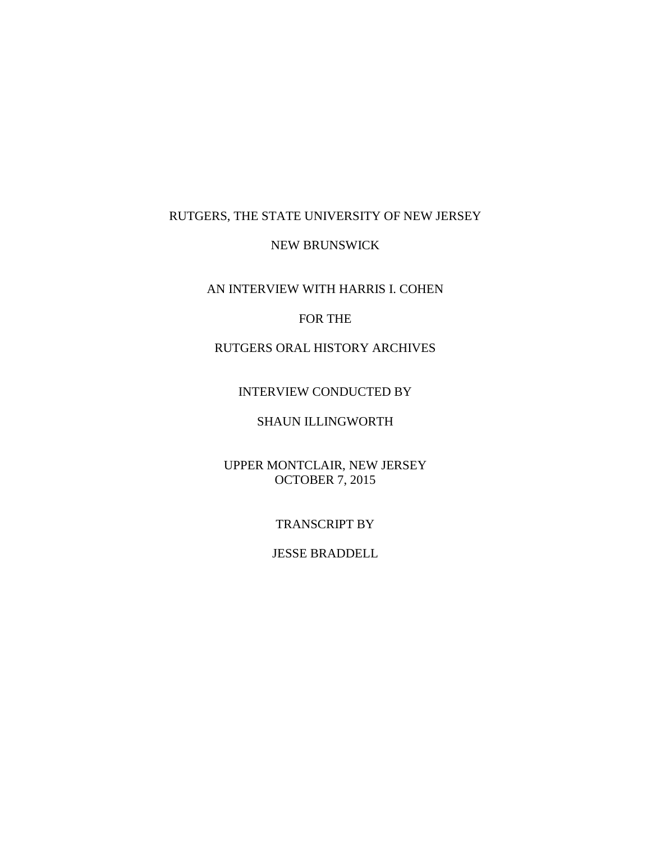## RUTGERS, THE STATE UNIVERSITY OF NEW JERSEY

#### NEW BRUNSWICK

AN INTERVIEW WITH HARRIS I. COHEN

#### FOR THE

# RUTGERS ORAL HISTORY ARCHIVES

#### INTERVIEW CONDUCTED BY

# SHAUN ILLINGWORTH

## UPPER MONTCLAIR, NEW JERSEY OCTOBER 7, 2015

#### TRANSCRIPT BY

#### JESSE BRADDELL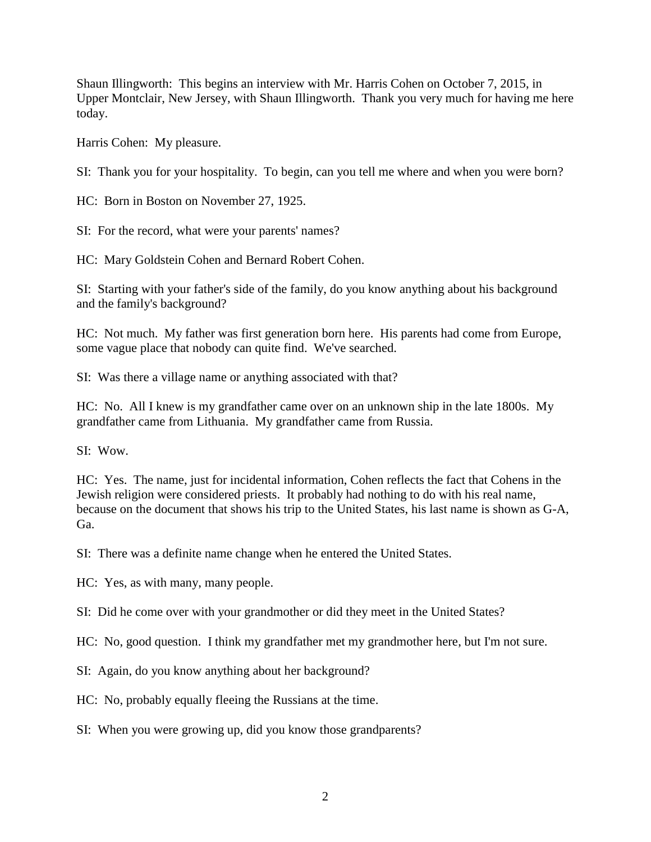Shaun Illingworth: This begins an interview with Mr. Harris Cohen on October 7, 2015, in Upper Montclair, New Jersey, with Shaun Illingworth. Thank you very much for having me here today.

Harris Cohen: My pleasure.

SI: Thank you for your hospitality. To begin, can you tell me where and when you were born?

HC: Born in Boston on November 27, 1925.

SI: For the record, what were your parents' names?

HC: Mary Goldstein Cohen and Bernard Robert Cohen.

SI: Starting with your father's side of the family, do you know anything about his background and the family's background?

HC: Not much. My father was first generation born here. His parents had come from Europe, some vague place that nobody can quite find. We've searched.

SI: Was there a village name or anything associated with that?

HC: No. All I knew is my grandfather came over on an unknown ship in the late 1800s. My grandfather came from Lithuania. My grandfather came from Russia.

SI: Wow.

HC: Yes. The name, just for incidental information, Cohen reflects the fact that Cohens in the Jewish religion were considered priests. It probably had nothing to do with his real name, because on the document that shows his trip to the United States, his last name is shown as G-A, Ga.

SI: There was a definite name change when he entered the United States.

HC: Yes, as with many, many people.

SI: Did he come over with your grandmother or did they meet in the United States?

HC: No, good question. I think my grandfather met my grandmother here, but I'm not sure.

SI: Again, do you know anything about her background?

HC: No, probably equally fleeing the Russians at the time.

SI: When you were growing up, did you know those grandparents?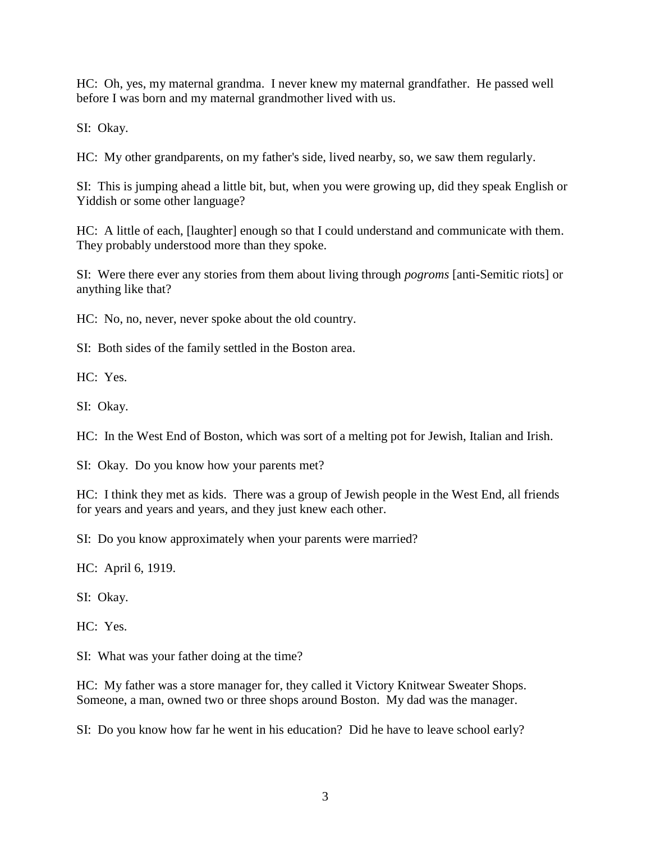HC: Oh, yes, my maternal grandma. I never knew my maternal grandfather. He passed well before I was born and my maternal grandmother lived with us.

SI: Okay.

HC: My other grandparents, on my father's side, lived nearby, so, we saw them regularly.

SI: This is jumping ahead a little bit, but, when you were growing up, did they speak English or Yiddish or some other language?

HC: A little of each, [laughter] enough so that I could understand and communicate with them. They probably understood more than they spoke.

SI: Were there ever any stories from them about living through *pogroms* [anti-Semitic riots] or anything like that?

HC: No, no, never, never spoke about the old country.

SI: Both sides of the family settled in the Boston area.

HC: Yes.

SI: Okay.

HC: In the West End of Boston, which was sort of a melting pot for Jewish, Italian and Irish.

SI: Okay. Do you know how your parents met?

HC: I think they met as kids. There was a group of Jewish people in the West End, all friends for years and years and years, and they just knew each other.

SI: Do you know approximately when your parents were married?

HC: April 6, 1919.

SI: Okay.

HC: Yes.

SI: What was your father doing at the time?

HC: My father was a store manager for, they called it Victory Knitwear Sweater Shops. Someone, a man, owned two or three shops around Boston. My dad was the manager.

SI: Do you know how far he went in his education? Did he have to leave school early?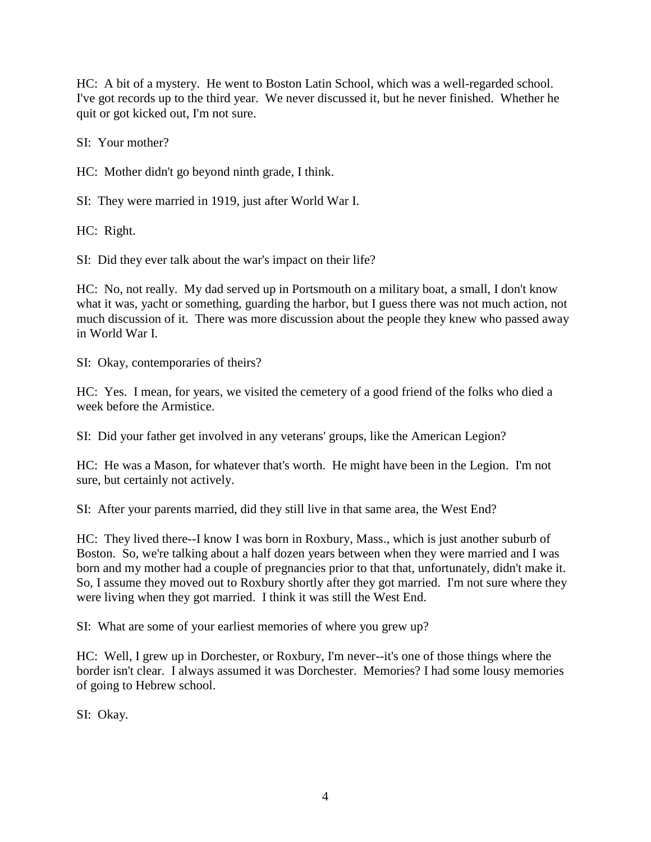HC: A bit of a mystery. He went to Boston Latin School, which was a well-regarded school. I've got records up to the third year. We never discussed it, but he never finished. Whether he quit or got kicked out, I'm not sure.

SI: Your mother?

HC: Mother didn't go beyond ninth grade, I think.

SI: They were married in 1919, just after World War I.

HC: Right.

SI: Did they ever talk about the war's impact on their life?

HC: No, not really. My dad served up in Portsmouth on a military boat, a small, I don't know what it was, yacht or something, guarding the harbor, but I guess there was not much action, not much discussion of it. There was more discussion about the people they knew who passed away in World War I.

SI: Okay, contemporaries of theirs?

HC: Yes. I mean, for years, we visited the cemetery of a good friend of the folks who died a week before the Armistice.

SI: Did your father get involved in any veterans' groups, like the American Legion?

HC: He was a Mason, for whatever that's worth. He might have been in the Legion. I'm not sure, but certainly not actively.

SI: After your parents married, did they still live in that same area, the West End?

HC: They lived there--I know I was born in Roxbury, Mass., which is just another suburb of Boston. So, we're talking about a half dozen years between when they were married and I was born and my mother had a couple of pregnancies prior to that that, unfortunately, didn't make it. So, I assume they moved out to Roxbury shortly after they got married. I'm not sure where they were living when they got married. I think it was still the West End.

SI: What are some of your earliest memories of where you grew up?

HC: Well, I grew up in Dorchester, or Roxbury, I'm never--it's one of those things where the border isn't clear. I always assumed it was Dorchester. Memories? I had some lousy memories of going to Hebrew school.

SI: Okay.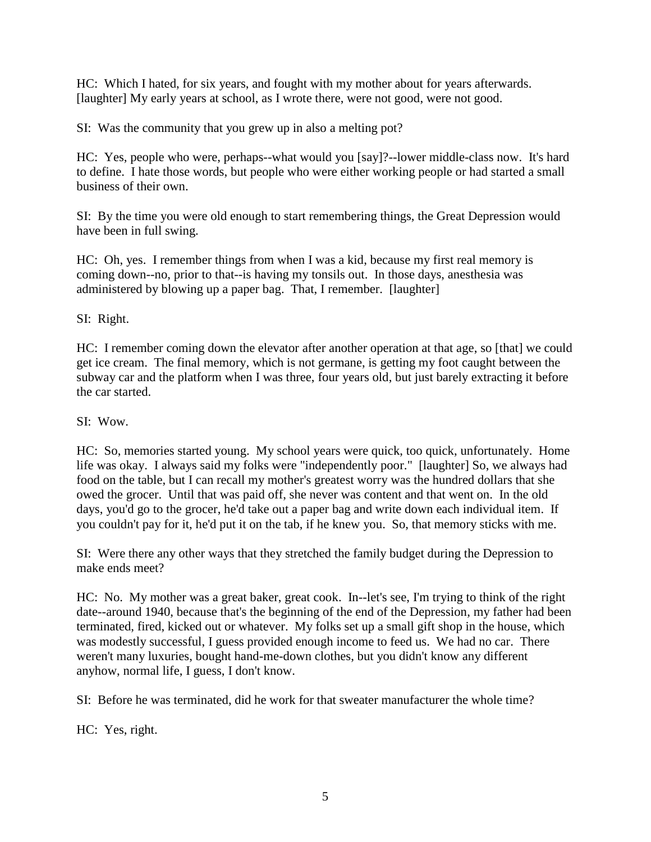HC: Which I hated, for six years, and fought with my mother about for years afterwards. [laughter] My early years at school, as I wrote there, were not good, were not good.

SI: Was the community that you grew up in also a melting pot?

HC: Yes, people who were, perhaps--what would you [say]?--lower middle-class now. It's hard to define. I hate those words, but people who were either working people or had started a small business of their own.

SI: By the time you were old enough to start remembering things, the Great Depression would have been in full swing.

HC: Oh, yes. I remember things from when I was a kid, because my first real memory is coming down--no, prior to that--is having my tonsils out. In those days, anesthesia was administered by blowing up a paper bag. That, I remember. [laughter]

SI: Right.

HC: I remember coming down the elevator after another operation at that age, so [that] we could get ice cream. The final memory, which is not germane, is getting my foot caught between the subway car and the platform when I was three, four years old, but just barely extracting it before the car started.

## SI: Wow.

HC: So, memories started young. My school years were quick, too quick, unfortunately. Home life was okay. I always said my folks were "independently poor." [laughter] So, we always had food on the table, but I can recall my mother's greatest worry was the hundred dollars that she owed the grocer. Until that was paid off, she never was content and that went on. In the old days, you'd go to the grocer, he'd take out a paper bag and write down each individual item. If you couldn't pay for it, he'd put it on the tab, if he knew you. So, that memory sticks with me.

SI: Were there any other ways that they stretched the family budget during the Depression to make ends meet?

HC: No. My mother was a great baker, great cook. In--let's see, I'm trying to think of the right date--around 1940, because that's the beginning of the end of the Depression, my father had been terminated, fired, kicked out or whatever. My folks set up a small gift shop in the house, which was modestly successful, I guess provided enough income to feed us. We had no car. There weren't many luxuries, bought hand-me-down clothes, but you didn't know any different anyhow, normal life, I guess, I don't know.

SI: Before he was terminated, did he work for that sweater manufacturer the whole time?

HC: Yes, right.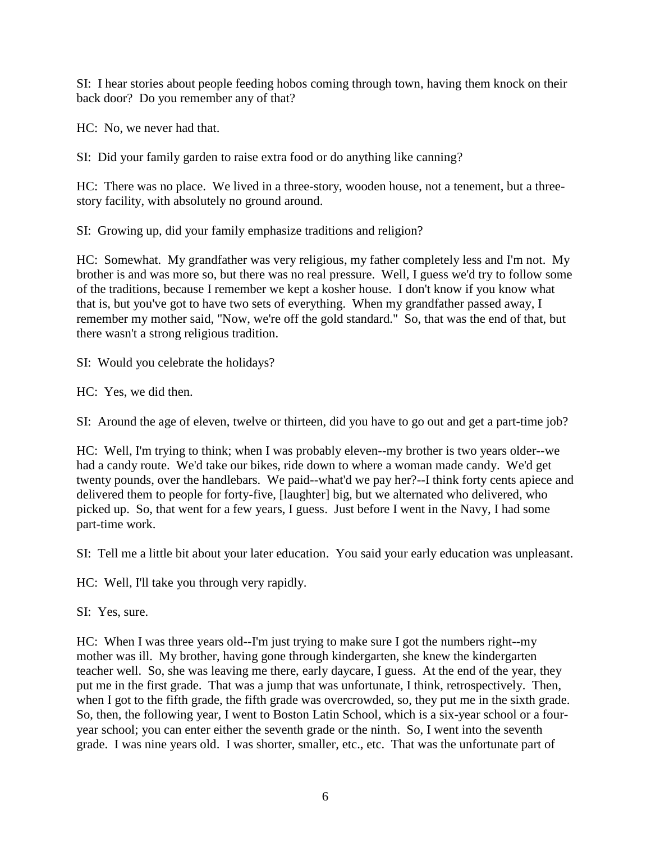SI: I hear stories about people feeding hobos coming through town, having them knock on their back door? Do you remember any of that?

HC: No, we never had that.

SI: Did your family garden to raise extra food or do anything like canning?

HC: There was no place. We lived in a three-story, wooden house, not a tenement, but a threestory facility, with absolutely no ground around.

SI: Growing up, did your family emphasize traditions and religion?

HC: Somewhat. My grandfather was very religious, my father completely less and I'm not. My brother is and was more so, but there was no real pressure. Well, I guess we'd try to follow some of the traditions, because I remember we kept a kosher house. I don't know if you know what that is, but you've got to have two sets of everything. When my grandfather passed away, I remember my mother said, "Now, we're off the gold standard." So, that was the end of that, but there wasn't a strong religious tradition.

SI: Would you celebrate the holidays?

HC: Yes, we did then.

SI: Around the age of eleven, twelve or thirteen, did you have to go out and get a part-time job?

HC: Well, I'm trying to think; when I was probably eleven--my brother is two years older--we had a candy route. We'd take our bikes, ride down to where a woman made candy. We'd get twenty pounds, over the handlebars. We paid--what'd we pay her?--I think forty cents apiece and delivered them to people for forty-five, [laughter] big, but we alternated who delivered, who picked up. So, that went for a few years, I guess. Just before I went in the Navy, I had some part-time work.

SI: Tell me a little bit about your later education. You said your early education was unpleasant.

HC: Well, I'll take you through very rapidly.

SI: Yes, sure.

HC: When I was three years old--I'm just trying to make sure I got the numbers right--my mother was ill. My brother, having gone through kindergarten, she knew the kindergarten teacher well. So, she was leaving me there, early daycare, I guess. At the end of the year, they put me in the first grade. That was a jump that was unfortunate, I think, retrospectively. Then, when I got to the fifth grade, the fifth grade was overcrowded, so, they put me in the sixth grade. So, then, the following year, I went to Boston Latin School, which is a six-year school or a fouryear school; you can enter either the seventh grade or the ninth. So, I went into the seventh grade. I was nine years old. I was shorter, smaller, etc., etc. That was the unfortunate part of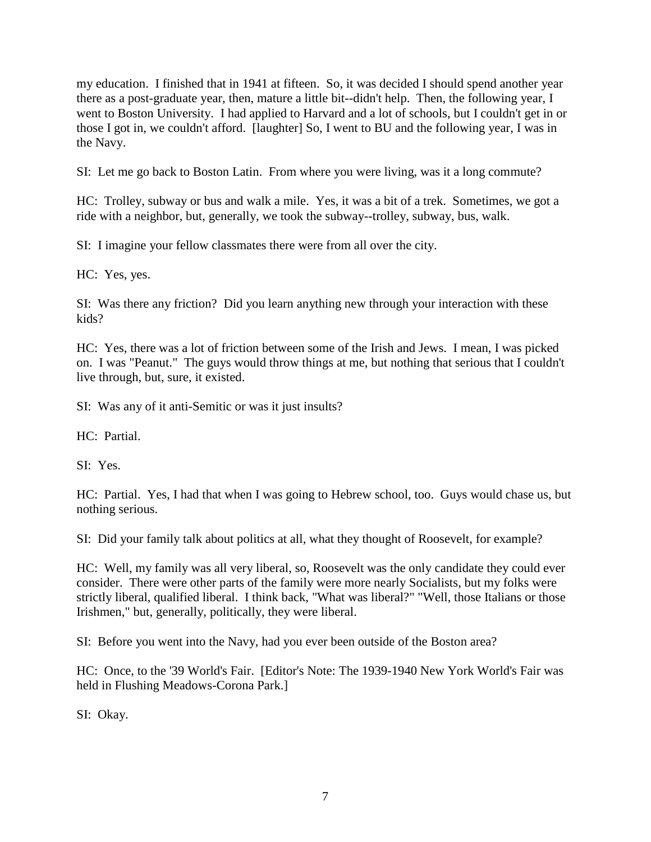my education. I finished that in 1941 at fifteen. So, it was decided I should spend another year there as a post-graduate year, then, mature a little bit--didn't help. Then, the following year, I went to Boston University. I had applied to Harvard and a lot of schools, but I couldn't get in or those I got in, we couldn't afford. [laughter] So, I went to BU and the following year, I was in the Navy.

SI: Let me go back to Boston Latin. From where you were living, was it a long commute?

HC: Trolley, subway or bus and walk a mile. Yes, it was a bit of a trek. Sometimes, we got a ride with a neighbor, but, generally, we took the subway--trolley, subway, bus, walk.

SI: I imagine your fellow classmates there were from all over the city.

HC: Yes, yes.

SI: Was there any friction? Did you learn anything new through your interaction with these kids?

HC: Yes, there was a lot of friction between some of the Irish and Jews. I mean, I was picked on. I was "Peanut." The guys would throw things at me, but nothing that serious that I couldn't live through, but, sure, it existed.

SI: Was any of it anti-Semitic or was it just insults?

 $HC \cdot$  Partial

SI: Yes.

HC: Partial. Yes, I had that when I was going to Hebrew school, too. Guys would chase us, but nothing serious.

SI: Did your family talk about politics at all, what they thought of Roosevelt, for example?

HC: Well, my family was all very liberal, so, Roosevelt was the only candidate they could ever consider. There were other parts of the family were more nearly Socialists, but my folks were strictly liberal, qualified liberal. I think back, "What was liberal?" "Well, those Italians or those Irishmen," but, generally, politically, they were liberal.

SI: Before you went into the Navy, had you ever been outside of the Boston area?

HC: Once, to the '39 World's Fair. [Editor's Note: The 1939-1940 New York World's Fair was held in Flushing Meadows-Corona Park.]

SI: Okay.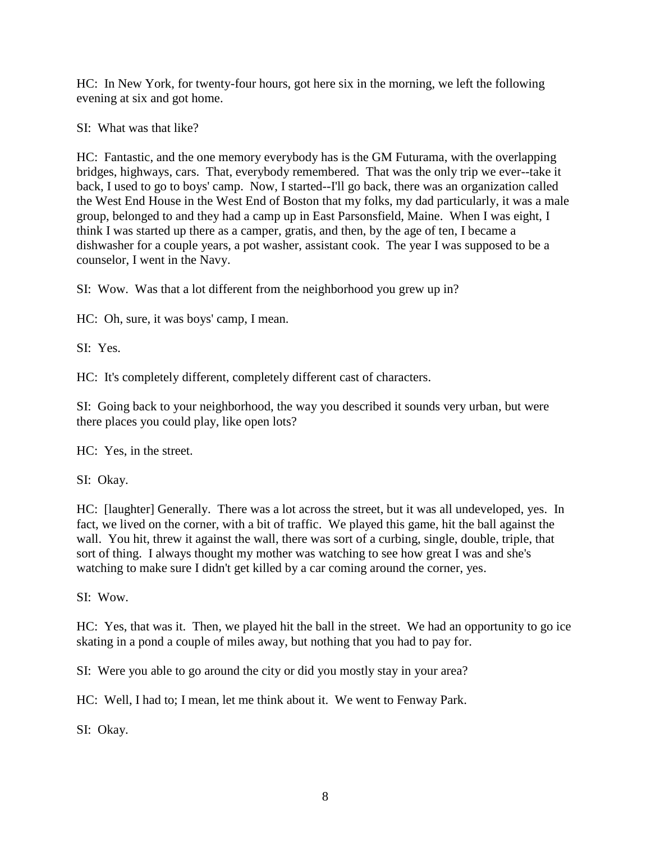HC: In New York, for twenty-four hours, got here six in the morning, we left the following evening at six and got home.

SI: What was that like?

HC: Fantastic, and the one memory everybody has is the GM Futurama, with the overlapping bridges, highways, cars. That, everybody remembered. That was the only trip we ever--take it back, I used to go to boys' camp. Now, I started--I'll go back, there was an organization called the West End House in the West End of Boston that my folks, my dad particularly, it was a male group, belonged to and they had a camp up in East Parsonsfield, Maine. When I was eight, I think I was started up there as a camper, gratis, and then, by the age of ten, I became a dishwasher for a couple years, a pot washer, assistant cook. The year I was supposed to be a counselor, I went in the Navy.

SI: Wow. Was that a lot different from the neighborhood you grew up in?

HC: Oh, sure, it was boys' camp, I mean.

SI: Yes.

HC: It's completely different, completely different cast of characters.

SI: Going back to your neighborhood, the way you described it sounds very urban, but were there places you could play, like open lots?

HC: Yes, in the street.

SI: Okay.

HC: [laughter] Generally. There was a lot across the street, but it was all undeveloped, yes. In fact, we lived on the corner, with a bit of traffic. We played this game, hit the ball against the wall. You hit, threw it against the wall, there was sort of a curbing, single, double, triple, that sort of thing. I always thought my mother was watching to see how great I was and she's watching to make sure I didn't get killed by a car coming around the corner, yes.

SI: Wow.

HC: Yes, that was it. Then, we played hit the ball in the street. We had an opportunity to go ice skating in a pond a couple of miles away, but nothing that you had to pay for.

SI: Were you able to go around the city or did you mostly stay in your area?

HC: Well, I had to; I mean, let me think about it. We went to Fenway Park.

SI: Okay.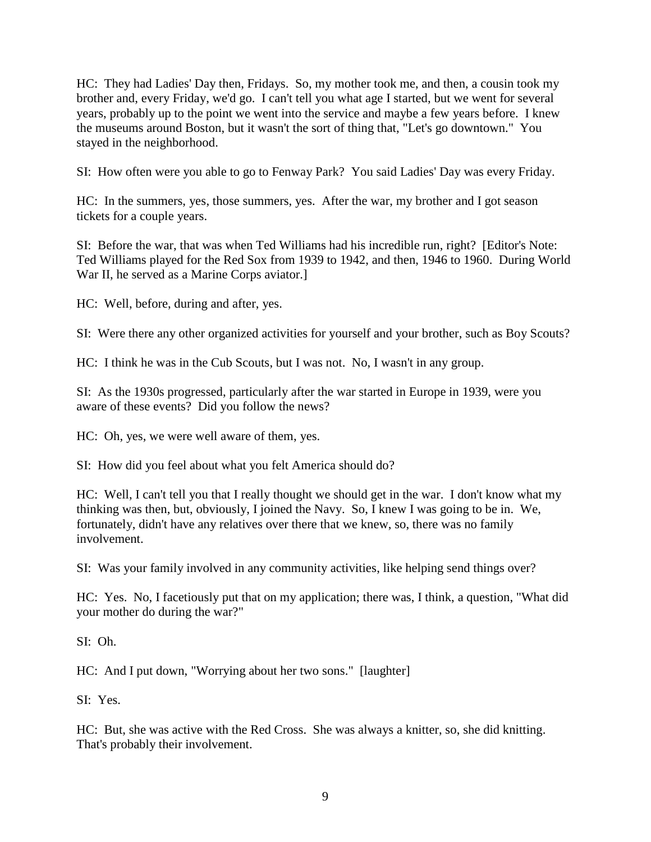HC: They had Ladies' Day then, Fridays. So, my mother took me, and then, a cousin took my brother and, every Friday, we'd go. I can't tell you what age I started, but we went for several years, probably up to the point we went into the service and maybe a few years before. I knew the museums around Boston, but it wasn't the sort of thing that, "Let's go downtown." You stayed in the neighborhood.

SI: How often were you able to go to Fenway Park? You said Ladies' Day was every Friday.

HC: In the summers, yes, those summers, yes. After the war, my brother and I got season tickets for a couple years.

SI: Before the war, that was when Ted Williams had his incredible run, right? [Editor's Note: Ted Williams played for the Red Sox from 1939 to 1942, and then, 1946 to 1960. During World War II, he served as a Marine Corps aviator.]

HC: Well, before, during and after, yes.

SI: Were there any other organized activities for yourself and your brother, such as Boy Scouts?

HC: I think he was in the Cub Scouts, but I was not. No, I wasn't in any group.

SI: As the 1930s progressed, particularly after the war started in Europe in 1939, were you aware of these events? Did you follow the news?

HC: Oh, yes, we were well aware of them, yes.

SI: How did you feel about what you felt America should do?

HC: Well, I can't tell you that I really thought we should get in the war. I don't know what my thinking was then, but, obviously, I joined the Navy. So, I knew I was going to be in. We, fortunately, didn't have any relatives over there that we knew, so, there was no family involvement.

SI: Was your family involved in any community activities, like helping send things over?

HC: Yes. No, I facetiously put that on my application; there was, I think, a question, "What did your mother do during the war?"

SI: Oh.

HC: And I put down, "Worrying about her two sons." [laughter]

SI: Yes.

HC: But, she was active with the Red Cross. She was always a knitter, so, she did knitting. That's probably their involvement.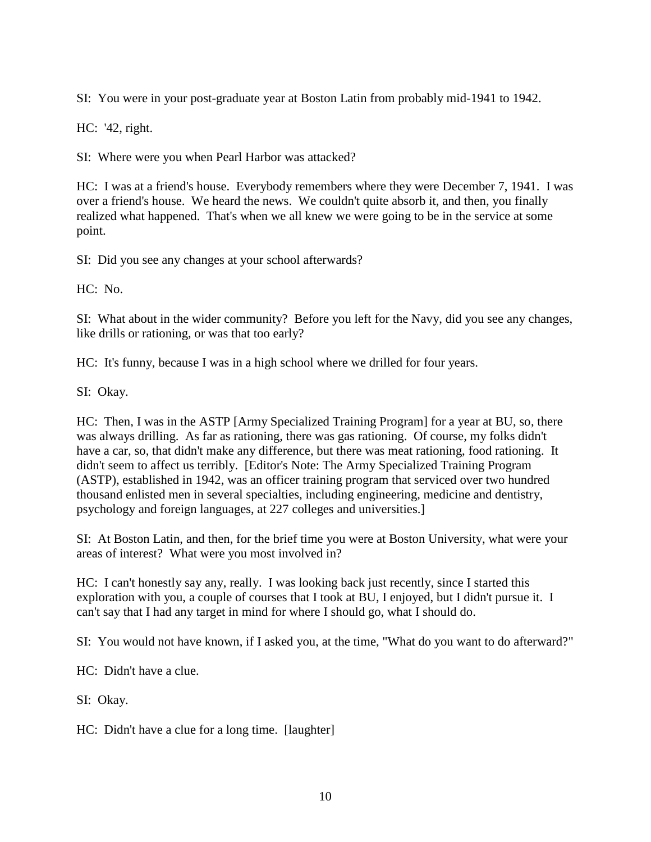SI: You were in your post-graduate year at Boston Latin from probably mid-1941 to 1942.

HC: '42, right.

SI: Where were you when Pearl Harbor was attacked?

HC: I was at a friend's house. Everybody remembers where they were December 7, 1941. I was over a friend's house. We heard the news. We couldn't quite absorb it, and then, you finally realized what happened. That's when we all knew we were going to be in the service at some point.

SI: Did you see any changes at your school afterwards?

HC: No.

SI: What about in the wider community? Before you left for the Navy, did you see any changes, like drills or rationing, or was that too early?

HC: It's funny, because I was in a high school where we drilled for four years.

SI: Okay.

HC: Then, I was in the ASTP [Army Specialized Training Program] for a year at BU, so, there was always drilling. As far as rationing, there was gas rationing. Of course, my folks didn't have a car, so, that didn't make any difference, but there was meat rationing, food rationing. It didn't seem to affect us terribly. [Editor's Note: The Army Specialized Training Program (ASTP), established in 1942, was an officer training program that serviced over two hundred thousand enlisted men in several specialties, including engineering, medicine and dentistry, psychology and foreign languages, at 227 colleges and universities.]

SI: At Boston Latin, and then, for the brief time you were at Boston University, what were your areas of interest? What were you most involved in?

HC: I can't honestly say any, really. I was looking back just recently, since I started this exploration with you, a couple of courses that I took at BU, I enjoyed, but I didn't pursue it. I can't say that I had any target in mind for where I should go, what I should do.

SI: You would not have known, if I asked you, at the time, "What do you want to do afterward?"

HC: Didn't have a clue.

SI: Okay.

HC: Didn't have a clue for a long time. [laughter]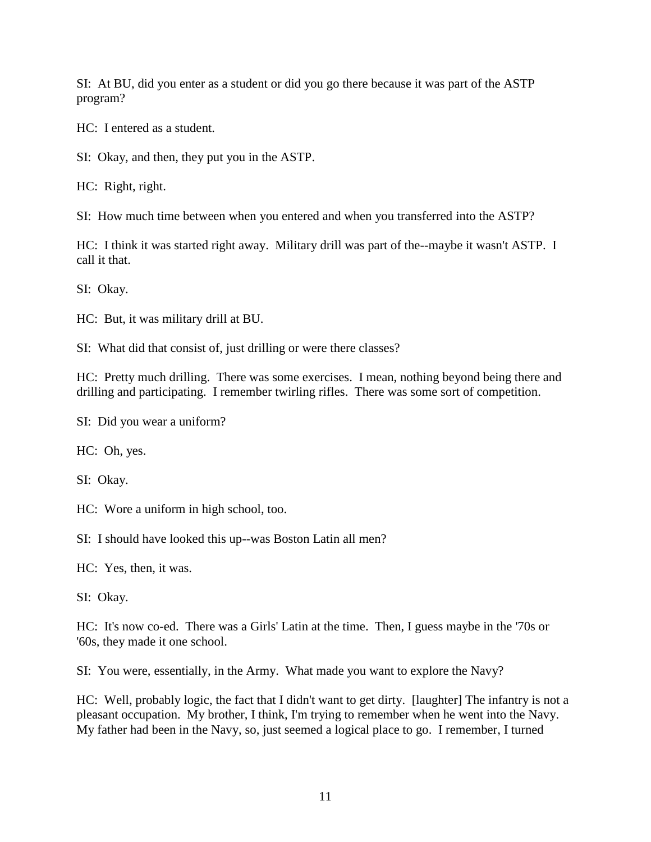SI: At BU, did you enter as a student or did you go there because it was part of the ASTP program?

HC: I entered as a student.

SI: Okay, and then, they put you in the ASTP.

HC: Right, right.

SI: How much time between when you entered and when you transferred into the ASTP?

HC: I think it was started right away. Military drill was part of the--maybe it wasn't ASTP. I call it that.

SI: Okay.

HC: But, it was military drill at BU.

SI: What did that consist of, just drilling or were there classes?

HC: Pretty much drilling. There was some exercises. I mean, nothing beyond being there and drilling and participating. I remember twirling rifles. There was some sort of competition.

SI: Did you wear a uniform?

HC: Oh, yes.

SI: Okay.

HC: Wore a uniform in high school, too.

SI: I should have looked this up--was Boston Latin all men?

HC: Yes, then, it was.

SI: Okay.

HC: It's now co-ed. There was a Girls' Latin at the time. Then, I guess maybe in the '70s or '60s, they made it one school.

SI: You were, essentially, in the Army. What made you want to explore the Navy?

HC: Well, probably logic, the fact that I didn't want to get dirty. [laughter] The infantry is not a pleasant occupation. My brother, I think, I'm trying to remember when he went into the Navy. My father had been in the Navy, so, just seemed a logical place to go. I remember, I turned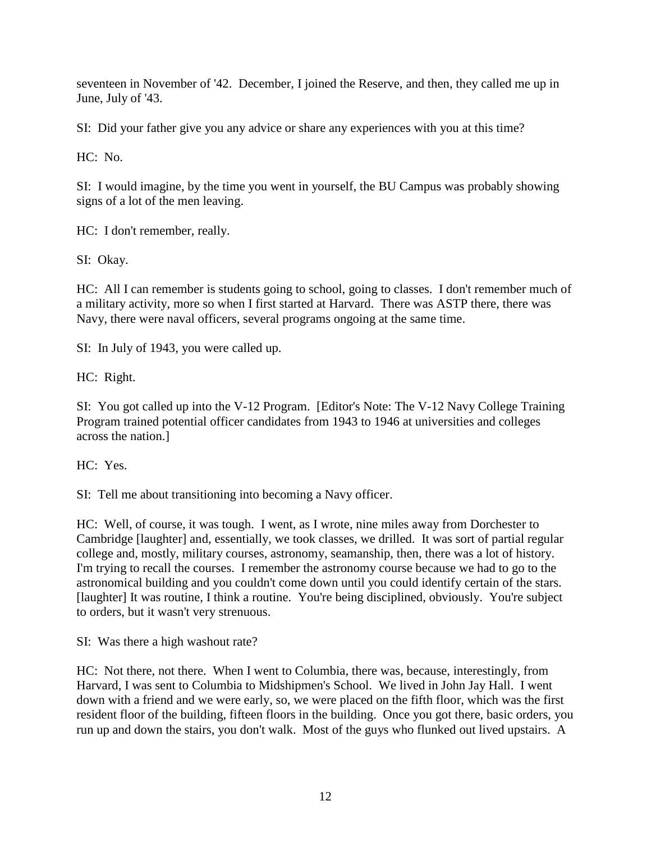seventeen in November of '42. December, I joined the Reserve, and then, they called me up in June, July of '43.

SI: Did your father give you any advice or share any experiences with you at this time?

 $HC: No.$ 

SI: I would imagine, by the time you went in yourself, the BU Campus was probably showing signs of a lot of the men leaving.

HC: I don't remember, really.

SI: Okay.

HC: All I can remember is students going to school, going to classes. I don't remember much of a military activity, more so when I first started at Harvard. There was ASTP there, there was Navy, there were naval officers, several programs ongoing at the same time.

SI: In July of 1943, you were called up.

HC: Right.

SI: You got called up into the V-12 Program. [Editor's Note: The V-12 Navy College Training Program trained potential officer candidates from 1943 to 1946 at universities and colleges across the nation.]

HC: Yes.

SI: Tell me about transitioning into becoming a Navy officer.

HC: Well, of course, it was tough. I went, as I wrote, nine miles away from Dorchester to Cambridge [laughter] and, essentially, we took classes, we drilled. It was sort of partial regular college and, mostly, military courses, astronomy, seamanship, then, there was a lot of history. I'm trying to recall the courses. I remember the astronomy course because we had to go to the astronomical building and you couldn't come down until you could identify certain of the stars. [laughter] It was routine, I think a routine. You're being disciplined, obviously. You're subject to orders, but it wasn't very strenuous.

SI: Was there a high washout rate?

HC: Not there, not there. When I went to Columbia, there was, because, interestingly, from Harvard, I was sent to Columbia to Midshipmen's School. We lived in John Jay Hall. I went down with a friend and we were early, so, we were placed on the fifth floor, which was the first resident floor of the building, fifteen floors in the building. Once you got there, basic orders, you run up and down the stairs, you don't walk. Most of the guys who flunked out lived upstairs. A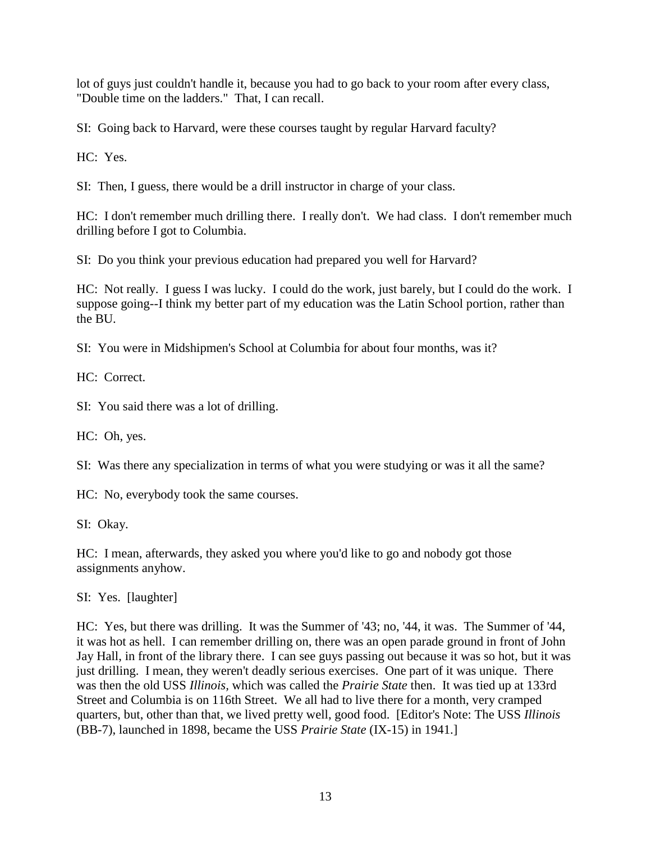lot of guys just couldn't handle it, because you had to go back to your room after every class, "Double time on the ladders." That, I can recall.

SI: Going back to Harvard, were these courses taught by regular Harvard faculty?

HC: Yes.

SI: Then, I guess, there would be a drill instructor in charge of your class.

HC: I don't remember much drilling there. I really don't. We had class. I don't remember much drilling before I got to Columbia.

SI: Do you think your previous education had prepared you well for Harvard?

HC: Not really. I guess I was lucky. I could do the work, just barely, but I could do the work. I suppose going--I think my better part of my education was the Latin School portion, rather than the BU.

SI: You were in Midshipmen's School at Columbia for about four months, was it?

HC: Correct.

SI: You said there was a lot of drilling.

HC: Oh, yes.

SI: Was there any specialization in terms of what you were studying or was it all the same?

HC: No, everybody took the same courses.

SI: Okay.

HC: I mean, afterwards, they asked you where you'd like to go and nobody got those assignments anyhow.

SI: Yes. [laughter]

HC: Yes, but there was drilling. It was the Summer of '43; no, '44, it was. The Summer of '44, it was hot as hell. I can remember drilling on, there was an open parade ground in front of John Jay Hall, in front of the library there. I can see guys passing out because it was so hot, but it was just drilling. I mean, they weren't deadly serious exercises. One part of it was unique. There was then the old USS *Illinois,* which was called the *Prairie State* then. It was tied up at 133rd Street and Columbia is on 116th Street. We all had to live there for a month, very cramped quarters, but, other than that, we lived pretty well, good food. [Editor's Note: The USS *Illinois* (BB-7), launched in 1898, became the USS *Prairie State* (IX-15) in 1941.]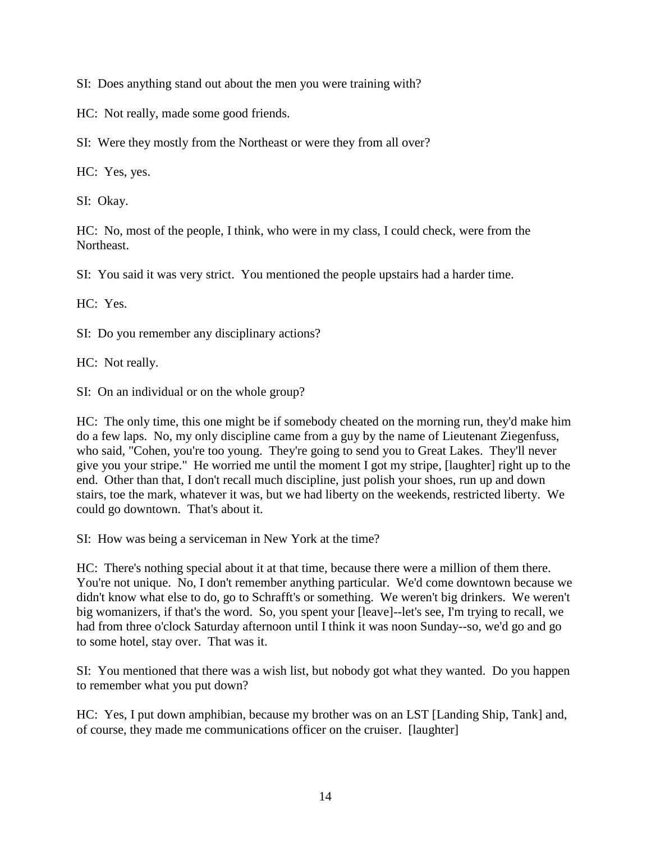SI: Does anything stand out about the men you were training with?

HC: Not really, made some good friends.

SI: Were they mostly from the Northeast or were they from all over?

HC: Yes, yes.

SI: Okay.

HC: No, most of the people, I think, who were in my class, I could check, were from the Northeast.

SI: You said it was very strict. You mentioned the people upstairs had a harder time.

HC: Yes.

SI: Do you remember any disciplinary actions?

HC: Not really.

SI: On an individual or on the whole group?

HC: The only time, this one might be if somebody cheated on the morning run, they'd make him do a few laps. No, my only discipline came from a guy by the name of Lieutenant Ziegenfuss, who said, "Cohen, you're too young. They're going to send you to Great Lakes. They'll never give you your stripe." He worried me until the moment I got my stripe, [laughter] right up to the end. Other than that, I don't recall much discipline, just polish your shoes, run up and down stairs, toe the mark, whatever it was, but we had liberty on the weekends, restricted liberty. We could go downtown. That's about it.

SI: How was being a serviceman in New York at the time?

HC: There's nothing special about it at that time, because there were a million of them there. You're not unique. No, I don't remember anything particular. We'd come downtown because we didn't know what else to do, go to Schrafft's or something. We weren't big drinkers. We weren't big womanizers, if that's the word. So, you spent your [leave]--let's see, I'm trying to recall, we had from three o'clock Saturday afternoon until I think it was noon Sunday--so, we'd go and go to some hotel, stay over. That was it.

SI: You mentioned that there was a wish list, but nobody got what they wanted. Do you happen to remember what you put down?

HC: Yes, I put down amphibian, because my brother was on an LST [Landing Ship, Tank] and, of course, they made me communications officer on the cruiser. [laughter]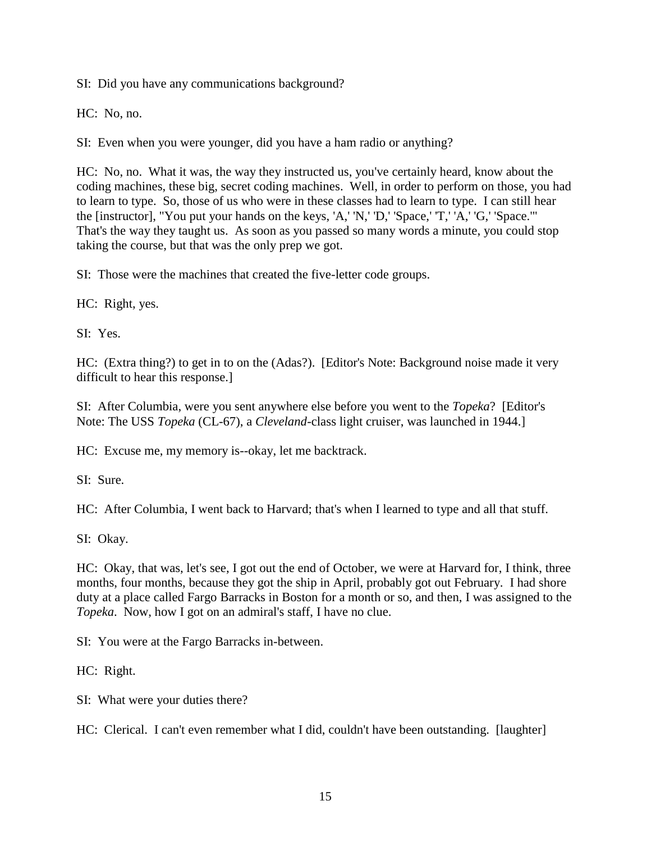SI: Did you have any communications background?

HC: No, no.

SI: Even when you were younger, did you have a ham radio or anything?

HC: No, no. What it was, the way they instructed us, you've certainly heard, know about the coding machines, these big, secret coding machines. Well, in order to perform on those, you had to learn to type. So, those of us who were in these classes had to learn to type. I can still hear the [instructor], "You put your hands on the keys, 'A,' 'N,' 'D,' 'Space,' 'T,' 'A,' 'G,' 'Space.'" That's the way they taught us. As soon as you passed so many words a minute, you could stop taking the course, but that was the only prep we got.

SI: Those were the machines that created the five-letter code groups.

HC: Right, yes.

SI: Yes.

HC: (Extra thing?) to get in to on the (Adas?). [Editor's Note: Background noise made it very difficult to hear this response.]

SI: After Columbia, were you sent anywhere else before you went to the *Topeka*? [Editor's Note: The USS *Topeka* (CL-67), a *Cleveland*-class light cruiser, was launched in 1944.]

HC: Excuse me, my memory is--okay, let me backtrack.

SI: Sure.

HC: After Columbia, I went back to Harvard; that's when I learned to type and all that stuff.

SI: Okay.

HC: Okay, that was, let's see, I got out the end of October, we were at Harvard for, I think, three months, four months, because they got the ship in April, probably got out February. I had shore duty at a place called Fargo Barracks in Boston for a month or so, and then, I was assigned to the *Topeka*. Now, how I got on an admiral's staff, I have no clue.

SI: You were at the Fargo Barracks in-between.

HC: Right.

SI: What were your duties there?

HC: Clerical. I can't even remember what I did, couldn't have been outstanding. [laughter]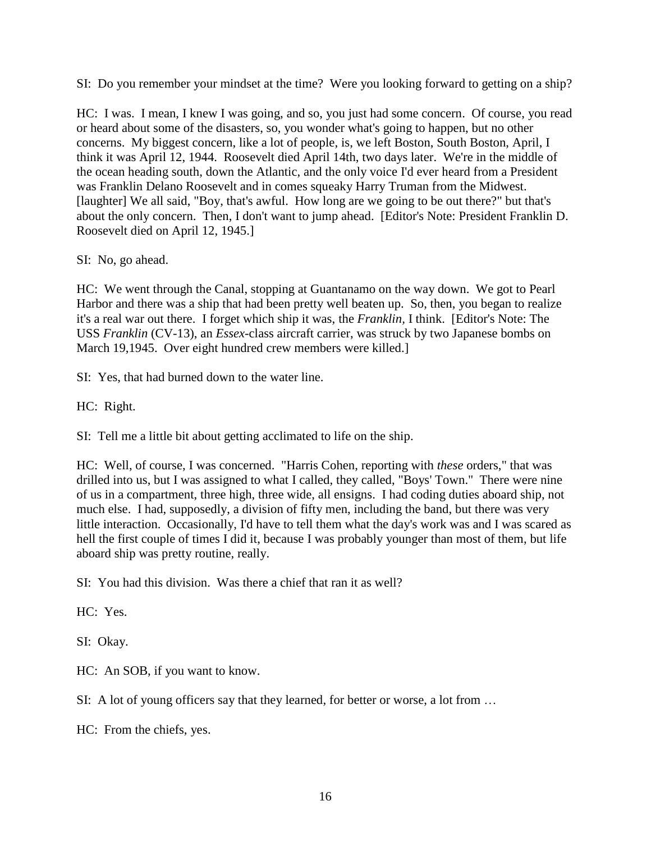SI: Do you remember your mindset at the time? Were you looking forward to getting on a ship?

HC: I was. I mean, I knew I was going, and so, you just had some concern. Of course, you read or heard about some of the disasters, so, you wonder what's going to happen, but no other concerns. My biggest concern, like a lot of people, is, we left Boston, South Boston, April, I think it was April 12, 1944. Roosevelt died April 14th, two days later. We're in the middle of the ocean heading south, down the Atlantic, and the only voice I'd ever heard from a President was Franklin Delano Roosevelt and in comes squeaky Harry Truman from the Midwest. [laughter] We all said, "Boy, that's awful. How long are we going to be out there?" but that's about the only concern. Then, I don't want to jump ahead. [Editor's Note: President Franklin D. Roosevelt died on April 12, 1945.]

SI: No, go ahead.

HC: We went through the Canal, stopping at Guantanamo on the way down. We got to Pearl Harbor and there was a ship that had been pretty well beaten up. So, then, you began to realize it's a real war out there. I forget which ship it was, the *Franklin,* I think. [Editor's Note: The USS *Franklin* (CV-13), an *Essex*-class aircraft carrier, was struck by two Japanese bombs on March 19,1945. Over eight hundred crew members were killed.]

SI: Yes, that had burned down to the water line.

HC: Right.

SI: Tell me a little bit about getting acclimated to life on the ship.

HC: Well, of course, I was concerned. "Harris Cohen, reporting with *these* orders," that was drilled into us, but I was assigned to what I called, they called, "Boys' Town." There were nine of us in a compartment, three high, three wide, all ensigns. I had coding duties aboard ship, not much else. I had, supposedly, a division of fifty men, including the band, but there was very little interaction. Occasionally, I'd have to tell them what the day's work was and I was scared as hell the first couple of times I did it, because I was probably younger than most of them, but life aboard ship was pretty routine, really.

SI: You had this division. Was there a chief that ran it as well?

HC: Yes.

SI: Okay.

HC: An SOB, if you want to know.

SI: A lot of young officers say that they learned, for better or worse, a lot from …

HC: From the chiefs, yes.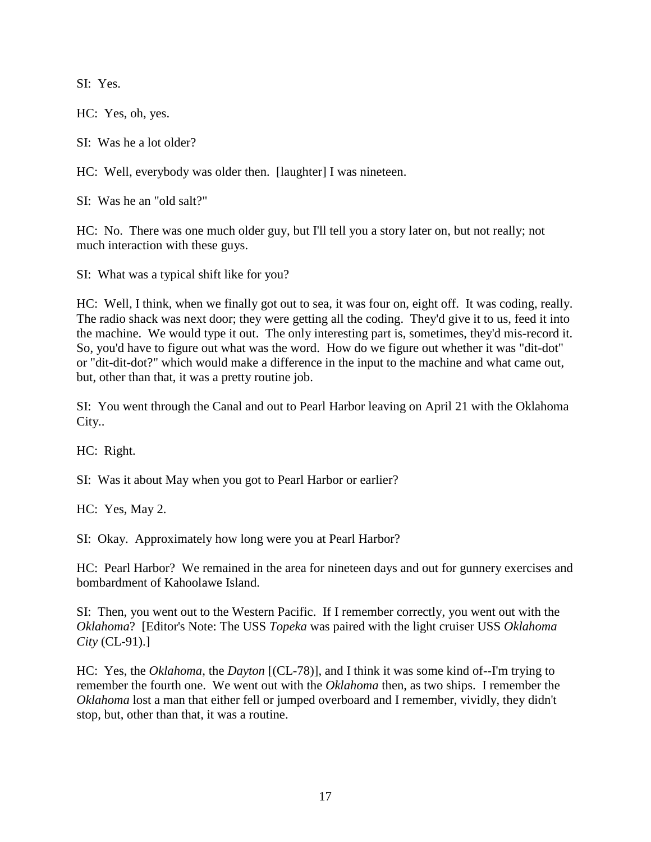SI: Yes.

HC: Yes, oh, yes.

SI: Was he a lot older?

HC: Well, everybody was older then. [laughter] I was nineteen.

SI: Was he an "old salt?"

HC: No. There was one much older guy, but I'll tell you a story later on, but not really; not much interaction with these guys.

SI: What was a typical shift like for you?

HC: Well, I think, when we finally got out to sea, it was four on, eight off. It was coding, really. The radio shack was next door; they were getting all the coding. They'd give it to us, feed it into the machine. We would type it out. The only interesting part is, sometimes, they'd mis-record it. So, you'd have to figure out what was the word. How do we figure out whether it was "dit-dot" or "dit-dit-dot?" which would make a difference in the input to the machine and what came out, but, other than that, it was a pretty routine job.

SI: You went through the Canal and out to Pearl Harbor leaving on April 21 with the Oklahoma City..

HC: Right.

SI: Was it about May when you got to Pearl Harbor or earlier?

HC: Yes, May 2.

SI: Okay. Approximately how long were you at Pearl Harbor?

HC: Pearl Harbor? We remained in the area for nineteen days and out for gunnery exercises and bombardment of Kahoolawe Island.

SI: Then, you went out to the Western Pacific. If I remember correctly, you went out with the *Oklahoma*? [Editor's Note: The USS *Topeka* was paired with the light cruiser USS *Oklahoma City* (CL-91).]

HC: Yes, the *Oklahoma*, the *Dayton* [(CL-78)], and I think it was some kind of--I'm trying to remember the fourth one. We went out with the *Oklahoma* then, as two ships. I remember the *Oklahoma* lost a man that either fell or jumped overboard and I remember, vividly, they didn't stop, but, other than that, it was a routine.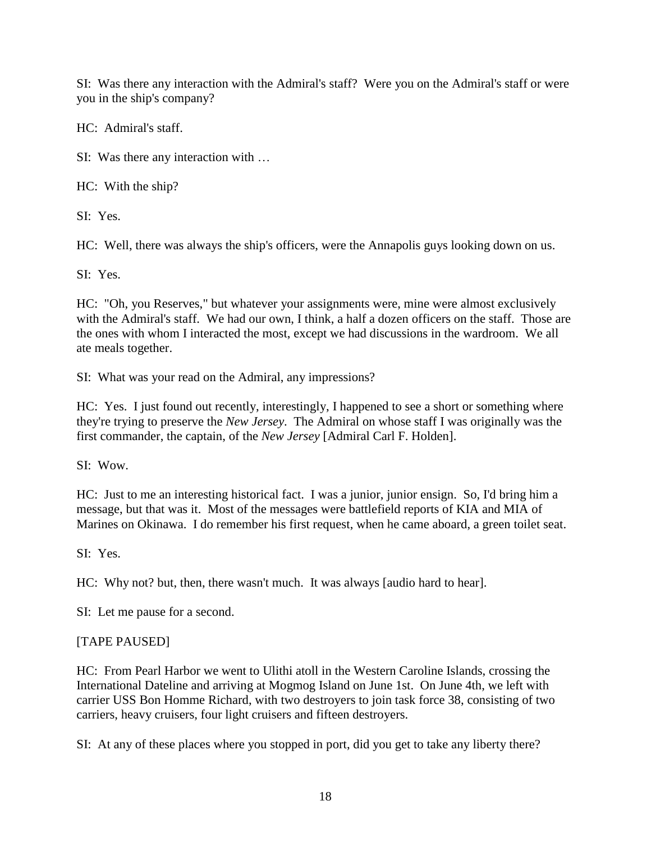SI: Was there any interaction with the Admiral's staff? Were you on the Admiral's staff or were you in the ship's company?

HC: Admiral's staff.

SI: Was there any interaction with …

HC: With the ship?

SI: Yes.

HC: Well, there was always the ship's officers, were the Annapolis guys looking down on us.

SI: Yes.

HC: "Oh, you Reserves," but whatever your assignments were, mine were almost exclusively with the Admiral's staff. We had our own, I think, a half a dozen officers on the staff. Those are the ones with whom I interacted the most, except we had discussions in the wardroom. We all ate meals together.

SI: What was your read on the Admiral, any impressions?

HC: Yes. I just found out recently, interestingly, I happened to see a short or something where they're trying to preserve the *New Jersey*. The Admiral on whose staff I was originally was the first commander, the captain, of the *New Jersey* [Admiral Carl F. Holden].

SI: Wow.

HC: Just to me an interesting historical fact. I was a junior, junior ensign. So, I'd bring him a message, but that was it. Most of the messages were battlefield reports of KIA and MIA of Marines on Okinawa. I do remember his first request, when he came aboard, a green toilet seat.

SI: Yes.

HC: Why not? but, then, there wasn't much. It was always [audio hard to hear].

SI: Let me pause for a second.

# [TAPE PAUSED]

HC: From Pearl Harbor we went to Ulithi atoll in the Western Caroline Islands, crossing the International Dateline and arriving at Mogmog Island on June 1st. On June 4th, we left with carrier USS Bon Homme Richard, with two destroyers to join task force 38, consisting of two carriers, heavy cruisers, four light cruisers and fifteen destroyers.

SI: At any of these places where you stopped in port, did you get to take any liberty there?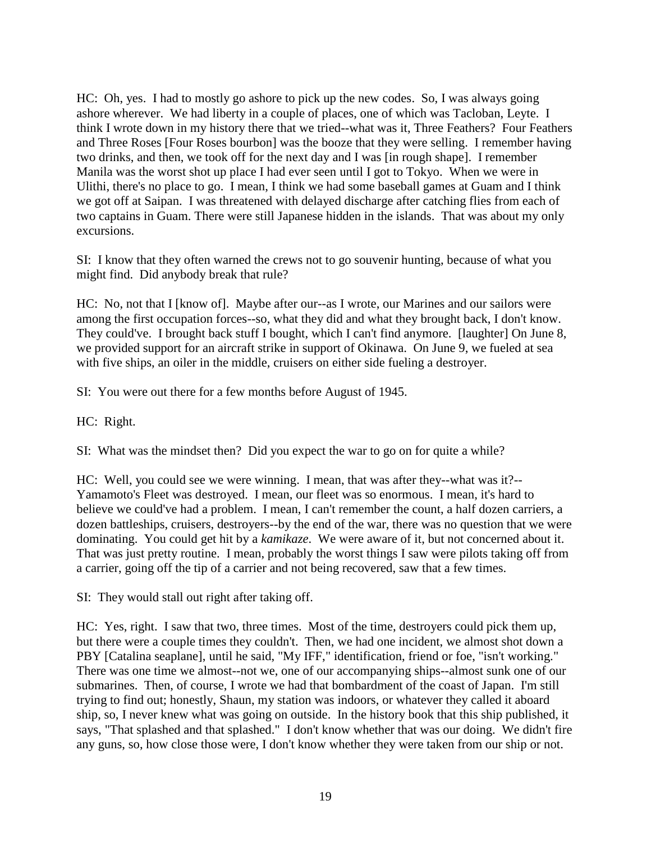HC: Oh, yes. I had to mostly go ashore to pick up the new codes. So, I was always going ashore wherever. We had liberty in a couple of places, one of which was Tacloban, Leyte. I think I wrote down in my history there that we tried--what was it, Three Feathers? Four Feathers and Three Roses [Four Roses bourbon] was the booze that they were selling. I remember having two drinks, and then, we took off for the next day and I was [in rough shape]. I remember Manila was the worst shot up place I had ever seen until I got to Tokyo. When we were in Ulithi, there's no place to go. I mean, I think we had some baseball games at Guam and I think we got off at Saipan. I was threatened with delayed discharge after catching flies from each of two captains in Guam. There were still Japanese hidden in the islands. That was about my only excursions.

SI: I know that they often warned the crews not to go souvenir hunting, because of what you might find. Did anybody break that rule?

HC: No, not that I [know of]. Maybe after our--as I wrote, our Marines and our sailors were among the first occupation forces--so, what they did and what they brought back, I don't know. They could've. I brought back stuff I bought, which I can't find anymore. [laughter] On June 8, we provided support for an aircraft strike in support of Okinawa. On June 9, we fueled at sea with five ships, an oiler in the middle, cruisers on either side fueling a destroyer.

SI: You were out there for a few months before August of 1945.

HC: Right.

SI: What was the mindset then? Did you expect the war to go on for quite a while?

HC: Well, you could see we were winning. I mean, that was after they--what was it?-- Yamamoto's Fleet was destroyed. I mean, our fleet was so enormous. I mean, it's hard to believe we could've had a problem. I mean, I can't remember the count, a half dozen carriers, a dozen battleships, cruisers, destroyers--by the end of the war, there was no question that we were dominating. You could get hit by a *kamikaze*. We were aware of it, but not concerned about it. That was just pretty routine. I mean, probably the worst things I saw were pilots taking off from a carrier, going off the tip of a carrier and not being recovered, saw that a few times.

SI: They would stall out right after taking off.

HC: Yes, right. I saw that two, three times. Most of the time, destroyers could pick them up, but there were a couple times they couldn't. Then, we had one incident, we almost shot down a PBY [Catalina seaplane], until he said, "My IFF," identification, friend or foe, "isn't working." There was one time we almost--not we, one of our accompanying ships--almost sunk one of our submarines. Then, of course, I wrote we had that bombardment of the coast of Japan. I'm still trying to find out; honestly, Shaun, my station was indoors, or whatever they called it aboard ship, so, I never knew what was going on outside. In the history book that this ship published, it says, "That splashed and that splashed." I don't know whether that was our doing. We didn't fire any guns, so, how close those were, I don't know whether they were taken from our ship or not.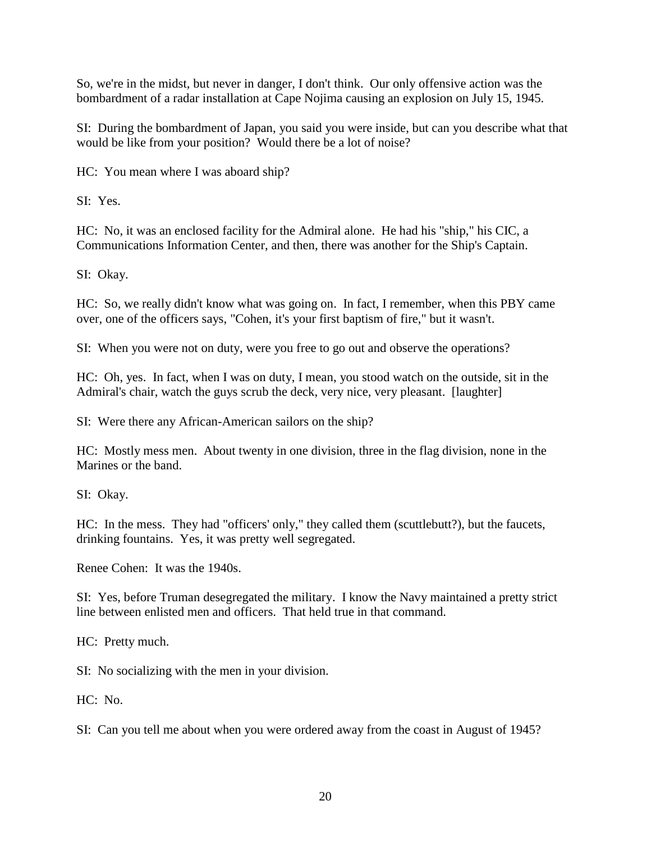So, we're in the midst, but never in danger, I don't think. Our only offensive action was the bombardment of a radar installation at Cape Nojima causing an explosion on July 15, 1945.

SI: During the bombardment of Japan, you said you were inside, but can you describe what that would be like from your position? Would there be a lot of noise?

HC: You mean where I was aboard ship?

SI: Yes.

HC: No, it was an enclosed facility for the Admiral alone. He had his "ship," his CIC, a Communications Information Center, and then, there was another for the Ship's Captain.

SI: Okay.

HC: So, we really didn't know what was going on. In fact, I remember, when this PBY came over, one of the officers says, "Cohen, it's your first baptism of fire," but it wasn't.

SI: When you were not on duty, were you free to go out and observe the operations?

HC: Oh, yes. In fact, when I was on duty, I mean, you stood watch on the outside, sit in the Admiral's chair, watch the guys scrub the deck, very nice, very pleasant. [laughter]

SI: Were there any African-American sailors on the ship?

HC: Mostly mess men. About twenty in one division, three in the flag division, none in the Marines or the band.

SI: Okay.

HC: In the mess. They had "officers' only," they called them (scuttlebutt?), but the faucets, drinking fountains. Yes, it was pretty well segregated.

Renee Cohen: It was the 1940s.

SI: Yes, before Truman desegregated the military. I know the Navy maintained a pretty strict line between enlisted men and officers. That held true in that command.

HC: Pretty much.

SI: No socializing with the men in your division.

 $HC: No.$ 

SI: Can you tell me about when you were ordered away from the coast in August of 1945?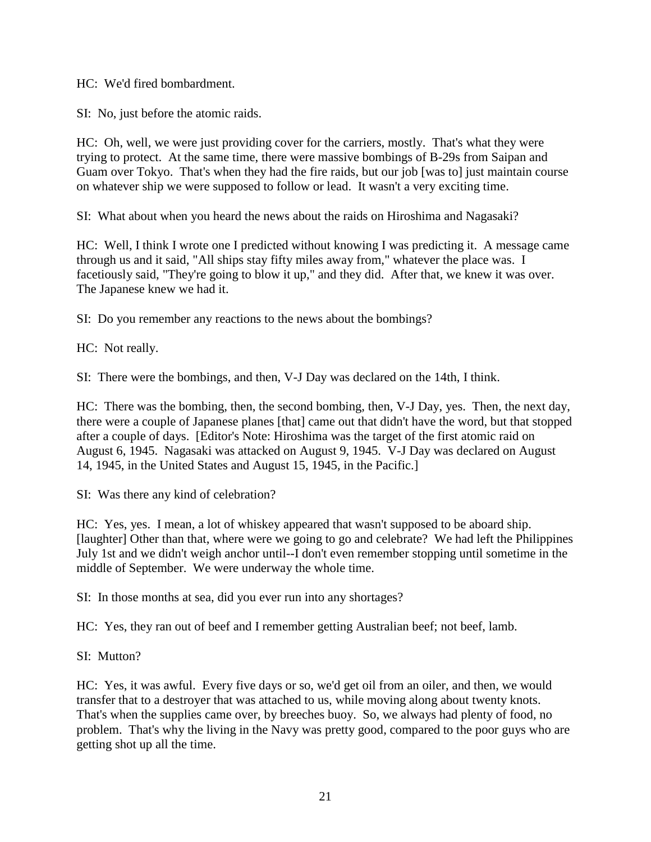HC: We'd fired bombardment.

SI: No, just before the atomic raids.

HC: Oh, well, we were just providing cover for the carriers, mostly. That's what they were trying to protect. At the same time, there were massive bombings of B-29s from Saipan and Guam over Tokyo. That's when they had the fire raids, but our job [was to] just maintain course on whatever ship we were supposed to follow or lead. It wasn't a very exciting time.

SI: What about when you heard the news about the raids on Hiroshima and Nagasaki?

HC: Well, I think I wrote one I predicted without knowing I was predicting it. A message came through us and it said, "All ships stay fifty miles away from," whatever the place was. I facetiously said, "They're going to blow it up," and they did. After that, we knew it was over. The Japanese knew we had it.

SI: Do you remember any reactions to the news about the bombings?

HC: Not really.

SI: There were the bombings, and then, V-J Day was declared on the 14th, I think.

HC: There was the bombing, then, the second bombing, then, V-J Day, yes. Then, the next day, there were a couple of Japanese planes [that] came out that didn't have the word, but that stopped after a couple of days. [Editor's Note: Hiroshima was the target of the first atomic raid on August 6, 1945. Nagasaki was attacked on August 9, 1945. V-J Day was declared on August 14, 1945, in the United States and August 15, 1945, in the Pacific.]

SI: Was there any kind of celebration?

HC: Yes, yes. I mean, a lot of whiskey appeared that wasn't supposed to be aboard ship. [laughter] Other than that, where were we going to go and celebrate? We had left the Philippines July 1st and we didn't weigh anchor until--I don't even remember stopping until sometime in the middle of September. We were underway the whole time.

SI: In those months at sea, did you ever run into any shortages?

HC: Yes, they ran out of beef and I remember getting Australian beef; not beef, lamb.

SI: Mutton?

HC: Yes, it was awful. Every five days or so, we'd get oil from an oiler, and then, we would transfer that to a destroyer that was attached to us, while moving along about twenty knots. That's when the supplies came over, by breeches buoy. So, we always had plenty of food, no problem. That's why the living in the Navy was pretty good, compared to the poor guys who are getting shot up all the time.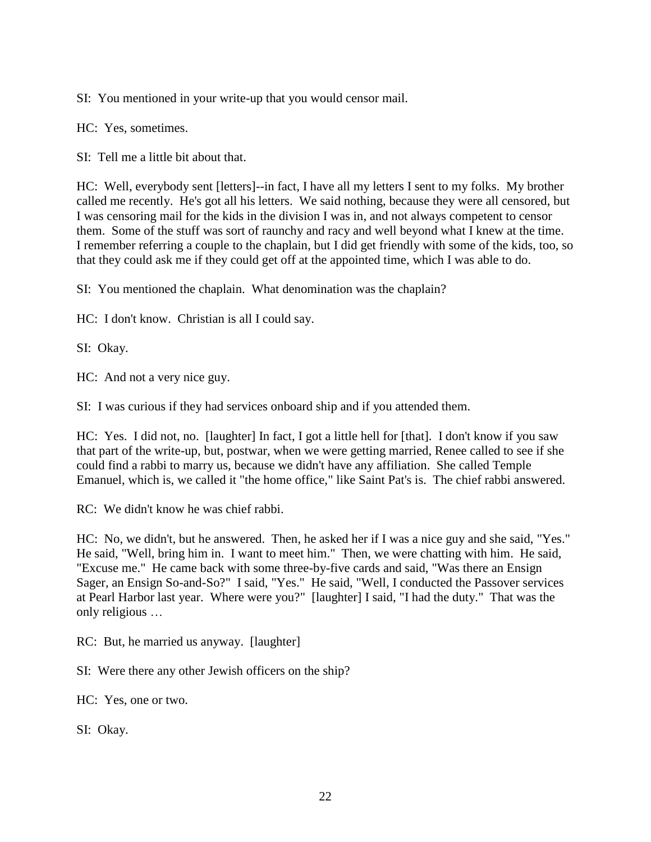SI: You mentioned in your write-up that you would censor mail.

HC: Yes, sometimes.

SI: Tell me a little bit about that.

HC: Well, everybody sent [letters]--in fact, I have all my letters I sent to my folks. My brother called me recently. He's got all his letters. We said nothing, because they were all censored, but I was censoring mail for the kids in the division I was in, and not always competent to censor them. Some of the stuff was sort of raunchy and racy and well beyond what I knew at the time. I remember referring a couple to the chaplain, but I did get friendly with some of the kids, too, so that they could ask me if they could get off at the appointed time, which I was able to do.

SI: You mentioned the chaplain. What denomination was the chaplain?

HC: I don't know. Christian is all I could say.

SI: Okay.

HC: And not a very nice guy.

SI: I was curious if they had services onboard ship and if you attended them.

HC: Yes. I did not, no. [laughter] In fact, I got a little hell for [that]. I don't know if you saw that part of the write-up, but, postwar, when we were getting married, Renee called to see if she could find a rabbi to marry us, because we didn't have any affiliation. She called Temple Emanuel, which is, we called it "the home office," like Saint Pat's is. The chief rabbi answered.

RC: We didn't know he was chief rabbi.

HC: No, we didn't, but he answered. Then, he asked her if I was a nice guy and she said, "Yes." He said, "Well, bring him in. I want to meet him." Then, we were chatting with him. He said, "Excuse me." He came back with some three-by-five cards and said, "Was there an Ensign Sager, an Ensign So-and-So?" I said, "Yes." He said, "Well, I conducted the Passover services at Pearl Harbor last year. Where were you?" [laughter] I said, "I had the duty." That was the only religious …

RC: But, he married us anyway. [laughter]

SI: Were there any other Jewish officers on the ship?

HC: Yes, one or two.

SI: Okay.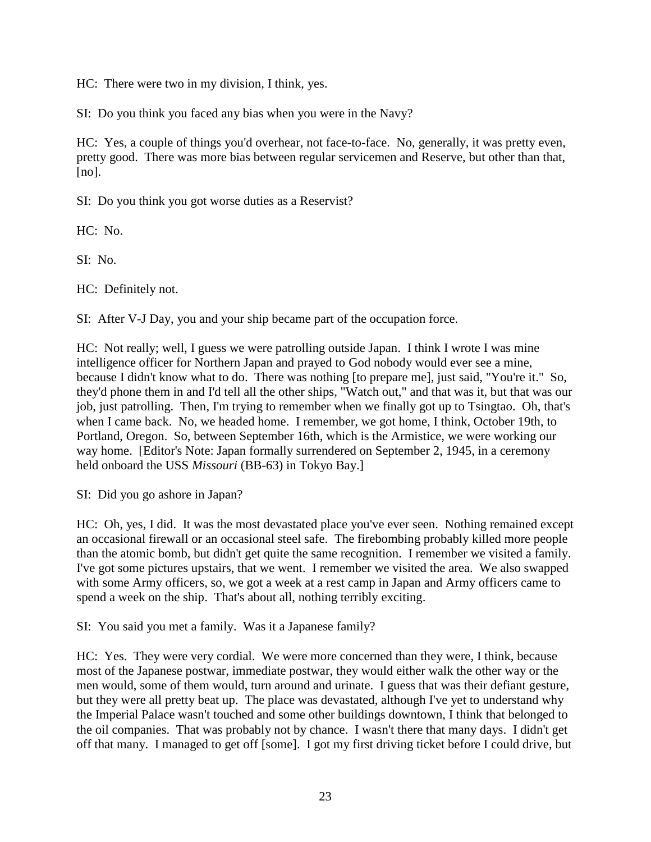HC: There were two in my division, I think, yes.

SI: Do you think you faced any bias when you were in the Navy?

HC: Yes, a couple of things you'd overhear, not face-to-face. No, generally, it was pretty even, pretty good. There was more bias between regular servicemen and Reserve, but other than that,  $[no]$ .

SI: Do you think you got worse duties as a Reservist?

HC: No.

SI: No.

HC: Definitely not.

SI: After V-J Day, you and your ship became part of the occupation force.

HC: Not really; well, I guess we were patrolling outside Japan. I think I wrote I was mine intelligence officer for Northern Japan and prayed to God nobody would ever see a mine, because I didn't know what to do. There was nothing [to prepare me], just said, "You're it." So, they'd phone them in and I'd tell all the other ships, "Watch out," and that was it, but that was our job, just patrolling. Then, I'm trying to remember when we finally got up to Tsingtao. Oh, that's when I came back. No, we headed home. I remember, we got home, I think, October 19th, to Portland, Oregon. So, between September 16th, which is the Armistice, we were working our way home. [Editor's Note: Japan formally surrendered on September 2, 1945, in a ceremony held onboard the USS *Missouri* (BB-63) in Tokyo Bay.]

SI: Did you go ashore in Japan?

HC: Oh, yes, I did. It was the most devastated place you've ever seen. Nothing remained except an occasional firewall or an occasional steel safe. The firebombing probably killed more people than the atomic bomb, but didn't get quite the same recognition. I remember we visited a family. I've got some pictures upstairs, that we went. I remember we visited the area. We also swapped with some Army officers, so, we got a week at a rest camp in Japan and Army officers came to spend a week on the ship. That's about all, nothing terribly exciting.

SI: You said you met a family. Was it a Japanese family?

HC: Yes. They were very cordial. We were more concerned than they were, I think, because most of the Japanese postwar, immediate postwar, they would either walk the other way or the men would, some of them would, turn around and urinate. I guess that was their defiant gesture, but they were all pretty beat up. The place was devastated, although I've yet to understand why the Imperial Palace wasn't touched and some other buildings downtown, I think that belonged to the oil companies. That was probably not by chance. I wasn't there that many days. I didn't get off that many. I managed to get off [some]. I got my first driving ticket before I could drive, but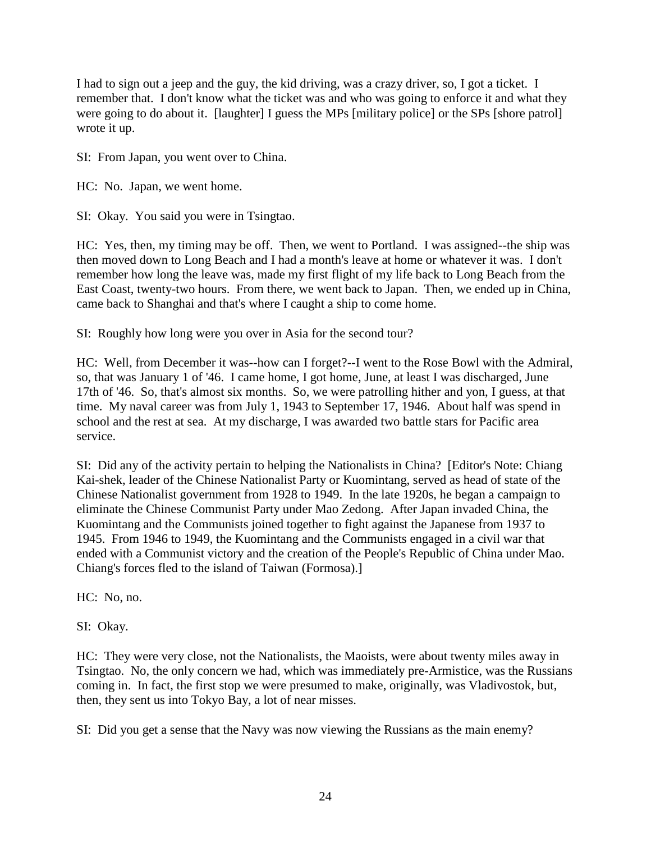I had to sign out a jeep and the guy, the kid driving, was a crazy driver, so, I got a ticket. I remember that. I don't know what the ticket was and who was going to enforce it and what they were going to do about it. [laughter] I guess the MPs [military police] or the SPs [shore patrol] wrote it up.

SI: From Japan, you went over to China.

HC: No. Japan, we went home.

SI: Okay. You said you were in Tsingtao.

HC: Yes, then, my timing may be off. Then, we went to Portland. I was assigned--the ship was then moved down to Long Beach and I had a month's leave at home or whatever it was. I don't remember how long the leave was, made my first flight of my life back to Long Beach from the East Coast, twenty-two hours. From there, we went back to Japan. Then, we ended up in China, came back to Shanghai and that's where I caught a ship to come home.

SI: Roughly how long were you over in Asia for the second tour?

HC: Well, from December it was--how can I forget?--I went to the Rose Bowl with the Admiral, so, that was January 1 of '46. I came home, I got home, June, at least I was discharged, June 17th of '46. So, that's almost six months. So, we were patrolling hither and yon, I guess, at that time. My naval career was from July 1, 1943 to September 17, 1946. About half was spend in school and the rest at sea. At my discharge, I was awarded two battle stars for Pacific area service.

SI: Did any of the activity pertain to helping the Nationalists in China? [Editor's Note: Chiang Kai-shek, leader of the Chinese Nationalist Party or Kuomintang, served as head of state of the Chinese Nationalist government from 1928 to 1949. In the late 1920s, he began a campaign to eliminate the Chinese Communist Party under Mao Zedong. After Japan invaded China, the Kuomintang and the Communists joined together to fight against the Japanese from 1937 to 1945. From 1946 to 1949, the Kuomintang and the Communists engaged in a civil war that ended with a Communist victory and the creation of the People's Republic of China under Mao. Chiang's forces fled to the island of Taiwan (Formosa).]

HC: No, no.

SI: Okay.

HC: They were very close, not the Nationalists, the Maoists, were about twenty miles away in Tsingtao. No, the only concern we had, which was immediately pre-Armistice, was the Russians coming in. In fact, the first stop we were presumed to make, originally, was Vladivostok, but, then, they sent us into Tokyo Bay, a lot of near misses.

SI: Did you get a sense that the Navy was now viewing the Russians as the main enemy?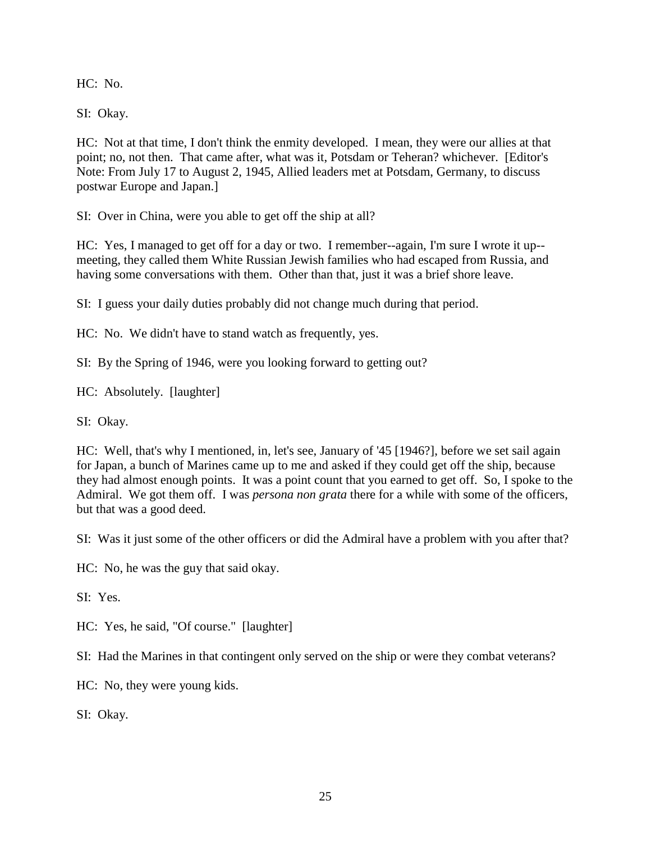HC: No.

SI: Okay.

HC: Not at that time, I don't think the enmity developed. I mean, they were our allies at that point; no, not then. That came after, what was it, Potsdam or Teheran? whichever. [Editor's Note: From July 17 to August 2, 1945, Allied leaders met at Potsdam, Germany, to discuss postwar Europe and Japan.]

SI: Over in China, were you able to get off the ship at all?

HC: Yes, I managed to get off for a day or two. I remember--again, I'm sure I wrote it up- meeting, they called them White Russian Jewish families who had escaped from Russia, and having some conversations with them. Other than that, just it was a brief shore leave.

SI: I guess your daily duties probably did not change much during that period.

HC: No. We didn't have to stand watch as frequently, yes.

SI: By the Spring of 1946, were you looking forward to getting out?

HC: Absolutely. [laughter]

SI: Okay.

HC: Well, that's why I mentioned, in, let's see, January of '45 [1946?], before we set sail again for Japan, a bunch of Marines came up to me and asked if they could get off the ship, because they had almost enough points. It was a point count that you earned to get off. So, I spoke to the Admiral. We got them off. I was *persona non grata* there for a while with some of the officers, but that was a good deed.

SI: Was it just some of the other officers or did the Admiral have a problem with you after that?

HC: No, he was the guy that said okay.

SI: Yes.

HC: Yes, he said, "Of course." [laughter]

SI: Had the Marines in that contingent only served on the ship or were they combat veterans?

HC: No, they were young kids.

SI: Okay.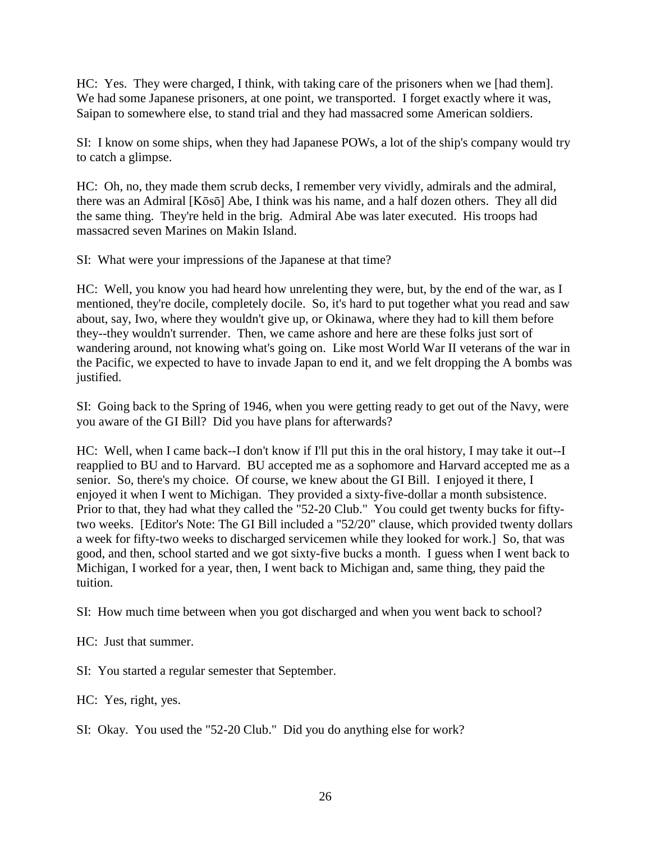HC: Yes. They were charged, I think, with taking care of the prisoners when we [had them]. We had some Japanese prisoners, at one point, we transported. I forget exactly where it was, Saipan to somewhere else, to stand trial and they had massacred some American soldiers.

SI: I know on some ships, when they had Japanese POWs, a lot of the ship's company would try to catch a glimpse.

HC: Oh, no, they made them scrub decks, I remember very vividly, admirals and the admiral, there was an Admiral [Kōsō] Abe, I think was his name, and a half dozen others. They all did the same thing. They're held in the brig. Admiral Abe was later executed. His troops had massacred seven Marines on Makin Island.

SI: What were your impressions of the Japanese at that time?

HC: Well, you know you had heard how unrelenting they were, but, by the end of the war, as I mentioned, they're docile, completely docile. So, it's hard to put together what you read and saw about, say, Iwo, where they wouldn't give up, or Okinawa, where they had to kill them before they--they wouldn't surrender. Then, we came ashore and here are these folks just sort of wandering around, not knowing what's going on. Like most World War II veterans of the war in the Pacific, we expected to have to invade Japan to end it, and we felt dropping the A bombs was justified.

SI: Going back to the Spring of 1946, when you were getting ready to get out of the Navy, were you aware of the GI Bill? Did you have plans for afterwards?

HC: Well, when I came back--I don't know if I'll put this in the oral history, I may take it out--I reapplied to BU and to Harvard. BU accepted me as a sophomore and Harvard accepted me as a senior. So, there's my choice. Of course, we knew about the GI Bill. I enjoyed it there, I enjoyed it when I went to Michigan. They provided a sixty-five-dollar a month subsistence. Prior to that, they had what they called the "52-20 Club." You could get twenty bucks for fiftytwo weeks. [Editor's Note: The GI Bill included a "52/20" clause, which provided twenty dollars a week for fifty-two weeks to discharged servicemen while they looked for work.] So, that was good, and then, school started and we got sixty-five bucks a month. I guess when I went back to Michigan, I worked for a year, then, I went back to Michigan and, same thing, they paid the tuition.

SI: How much time between when you got discharged and when you went back to school?

HC: Just that summer.

SI: You started a regular semester that September.

HC: Yes, right, yes.

SI: Okay. You used the "52-20 Club." Did you do anything else for work?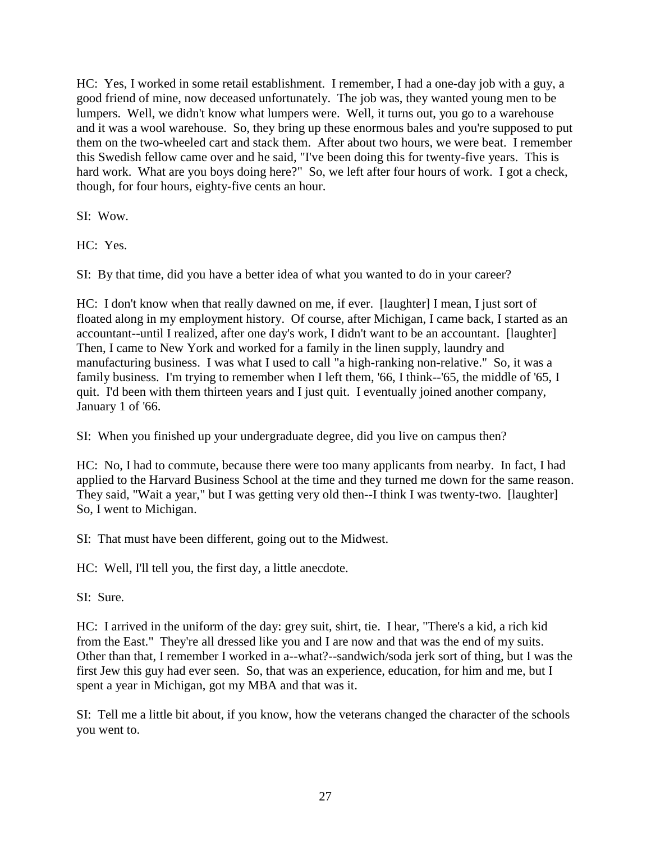HC: Yes, I worked in some retail establishment. I remember, I had a one-day job with a guy, a good friend of mine, now deceased unfortunately. The job was, they wanted young men to be lumpers. Well, we didn't know what lumpers were. Well, it turns out, you go to a warehouse and it was a wool warehouse. So, they bring up these enormous bales and you're supposed to put them on the two-wheeled cart and stack them. After about two hours, we were beat. I remember this Swedish fellow came over and he said, "I've been doing this for twenty-five years. This is hard work. What are you boys doing here?" So, we left after four hours of work. I got a check, though, for four hours, eighty-five cents an hour.

SI: Wow.

HC: Yes.

SI: By that time, did you have a better idea of what you wanted to do in your career?

HC: I don't know when that really dawned on me, if ever. [laughter] I mean, I just sort of floated along in my employment history. Of course, after Michigan, I came back, I started as an accountant--until I realized, after one day's work, I didn't want to be an accountant. [laughter] Then, I came to New York and worked for a family in the linen supply, laundry and manufacturing business. I was what I used to call "a high-ranking non-relative." So, it was a family business. I'm trying to remember when I left them, '66, I think--'65, the middle of '65, I quit. I'd been with them thirteen years and I just quit. I eventually joined another company, January 1 of '66.

SI: When you finished up your undergraduate degree, did you live on campus then?

HC: No, I had to commute, because there were too many applicants from nearby. In fact, I had applied to the Harvard Business School at the time and they turned me down for the same reason. They said, "Wait a year," but I was getting very old then--I think I was twenty-two. [laughter] So, I went to Michigan.

SI: That must have been different, going out to the Midwest.

HC: Well, I'll tell you, the first day, a little anecdote.

SI: Sure.

HC: I arrived in the uniform of the day: grey suit, shirt, tie. I hear, "There's a kid, a rich kid from the East." They're all dressed like you and I are now and that was the end of my suits. Other than that, I remember I worked in a--what?--sandwich/soda jerk sort of thing, but I was the first Jew this guy had ever seen. So, that was an experience, education, for him and me, but I spent a year in Michigan, got my MBA and that was it.

SI: Tell me a little bit about, if you know, how the veterans changed the character of the schools you went to.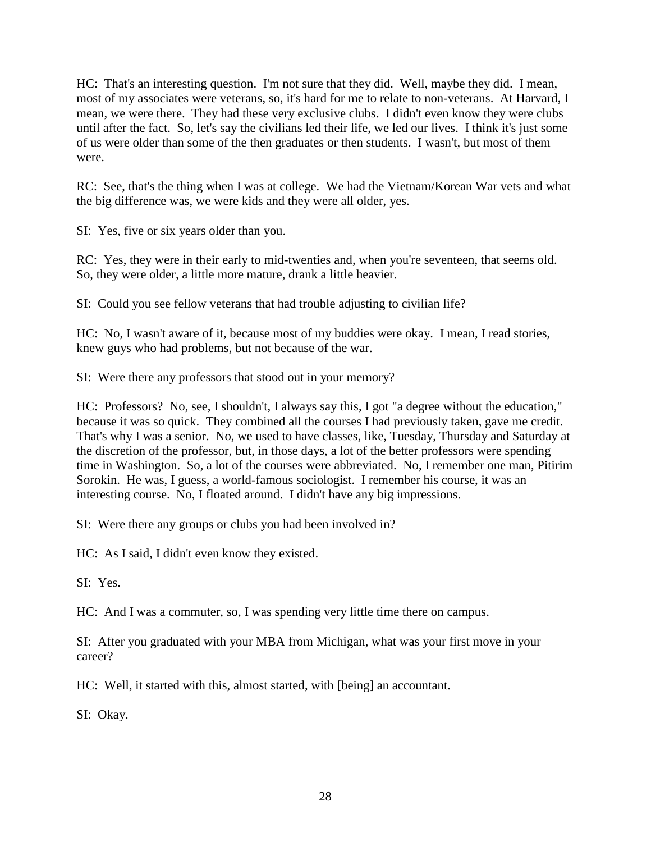HC: That's an interesting question. I'm not sure that they did. Well, maybe they did. I mean, most of my associates were veterans, so, it's hard for me to relate to non-veterans. At Harvard, I mean, we were there. They had these very exclusive clubs. I didn't even know they were clubs until after the fact. So, let's say the civilians led their life, we led our lives. I think it's just some of us were older than some of the then graduates or then students. I wasn't, but most of them were.

RC: See, that's the thing when I was at college. We had the Vietnam/Korean War vets and what the big difference was, we were kids and they were all older, yes.

SI: Yes, five or six years older than you.

RC: Yes, they were in their early to mid-twenties and, when you're seventeen, that seems old. So, they were older, a little more mature, drank a little heavier.

SI: Could you see fellow veterans that had trouble adjusting to civilian life?

HC: No, I wasn't aware of it, because most of my buddies were okay. I mean, I read stories, knew guys who had problems, but not because of the war.

SI: Were there any professors that stood out in your memory?

HC: Professors? No, see, I shouldn't, I always say this, I got "a degree without the education," because it was so quick. They combined all the courses I had previously taken, gave me credit. That's why I was a senior. No, we used to have classes, like, Tuesday, Thursday and Saturday at the discretion of the professor, but, in those days, a lot of the better professors were spending time in Washington. So, a lot of the courses were abbreviated. No, I remember one man, Pitirim Sorokin. He was, I guess, a world-famous sociologist. I remember his course, it was an interesting course. No, I floated around. I didn't have any big impressions.

SI: Were there any groups or clubs you had been involved in?

HC: As I said, I didn't even know they existed.

SI: Yes.

HC: And I was a commuter, so, I was spending very little time there on campus.

SI: After you graduated with your MBA from Michigan, what was your first move in your career?

HC: Well, it started with this, almost started, with [being] an accountant.

SI: Okay.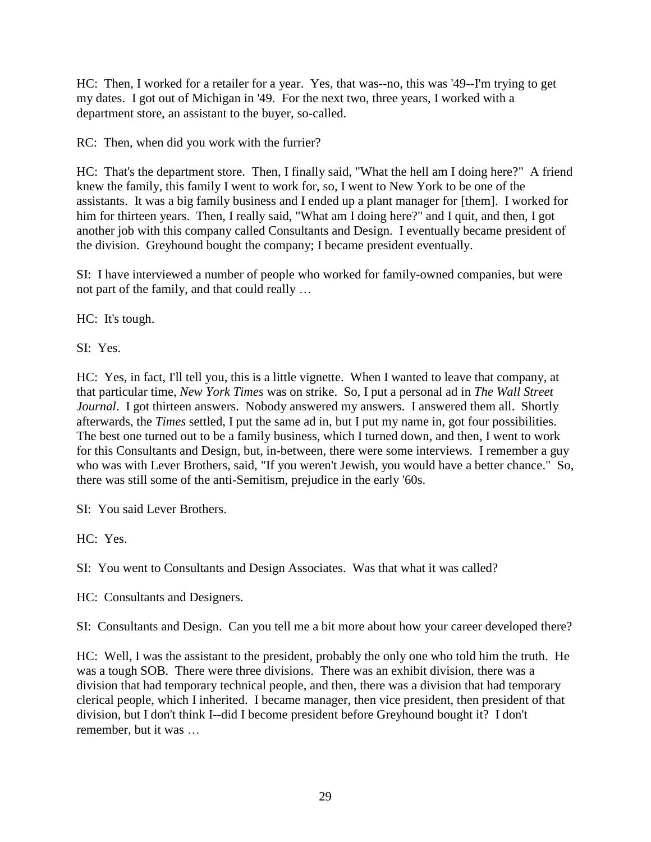HC: Then, I worked for a retailer for a year. Yes, that was--no, this was '49--I'm trying to get my dates. I got out of Michigan in '49. For the next two, three years, I worked with a department store, an assistant to the buyer, so-called.

RC: Then, when did you work with the furrier?

HC: That's the department store. Then, I finally said, "What the hell am I doing here?" A friend knew the family, this family I went to work for, so, I went to New York to be one of the assistants. It was a big family business and I ended up a plant manager for [them]. I worked for him for thirteen years. Then, I really said, "What am I doing here?" and I quit, and then, I got another job with this company called Consultants and Design. I eventually became president of the division. Greyhound bought the company; I became president eventually.

SI: I have interviewed a number of people who worked for family-owned companies, but were not part of the family, and that could really …

HC: It's tough.

SI: Yes.

HC: Yes, in fact, I'll tell you, this is a little vignette. When I wanted to leave that company, at that particular time, *New York Times* was on strike. So, I put a personal ad in *The Wall Street Journal*. I got thirteen answers. Nobody answered my answers. I answered them all. Shortly afterwards, the *Times* settled, I put the same ad in, but I put my name in, got four possibilities. The best one turned out to be a family business, which I turned down, and then, I went to work for this Consultants and Design, but, in-between, there were some interviews. I remember a guy who was with Lever Brothers, said, "If you weren't Jewish, you would have a better chance." So, there was still some of the anti-Semitism, prejudice in the early '60s.

SI: You said Lever Brothers.

HC: Yes.

SI: You went to Consultants and Design Associates. Was that what it was called?

HC: Consultants and Designers.

SI: Consultants and Design. Can you tell me a bit more about how your career developed there?

HC: Well, I was the assistant to the president, probably the only one who told him the truth. He was a tough SOB. There were three divisions. There was an exhibit division, there was a division that had temporary technical people, and then, there was a division that had temporary clerical people, which I inherited. I became manager, then vice president, then president of that division, but I don't think I--did I become president before Greyhound bought it? I don't remember, but it was …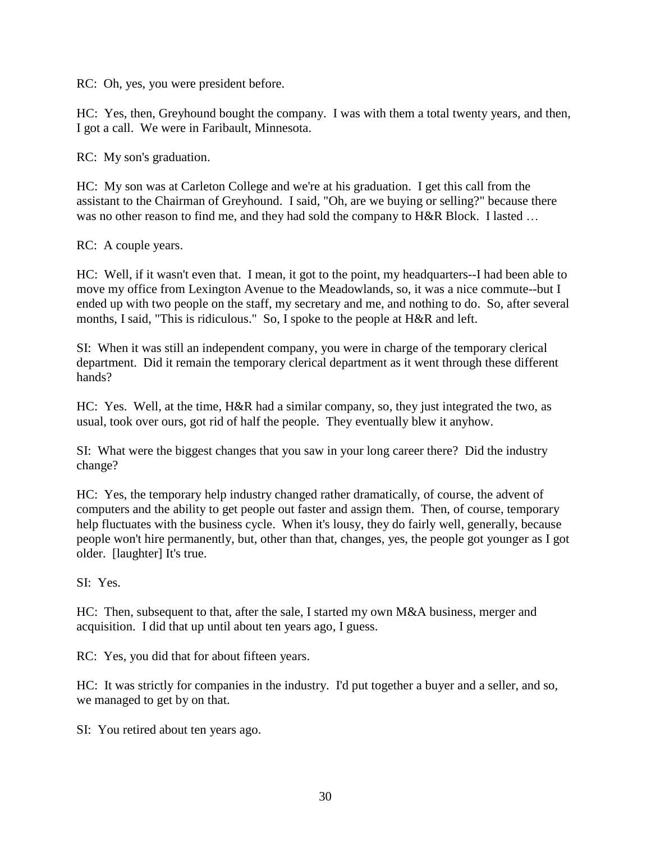RC: Oh, yes, you were president before.

HC: Yes, then, Greyhound bought the company. I was with them a total twenty years, and then, I got a call. We were in Faribault, Minnesota.

RC: My son's graduation.

HC: My son was at Carleton College and we're at his graduation. I get this call from the assistant to the Chairman of Greyhound. I said, "Oh, are we buying or selling?" because there was no other reason to find me, and they had sold the company to H&R Block. I lasted ...

RC: A couple years.

HC: Well, if it wasn't even that. I mean, it got to the point, my headquarters--I had been able to move my office from Lexington Avenue to the Meadowlands, so, it was a nice commute--but I ended up with two people on the staff, my secretary and me, and nothing to do. So, after several months, I said, "This is ridiculous." So, I spoke to the people at H&R and left.

SI: When it was still an independent company, you were in charge of the temporary clerical department. Did it remain the temporary clerical department as it went through these different hands?

HC: Yes. Well, at the time, H&R had a similar company, so, they just integrated the two, as usual, took over ours, got rid of half the people. They eventually blew it anyhow.

SI: What were the biggest changes that you saw in your long career there? Did the industry change?

HC: Yes, the temporary help industry changed rather dramatically, of course, the advent of computers and the ability to get people out faster and assign them. Then, of course, temporary help fluctuates with the business cycle. When it's lousy, they do fairly well, generally, because people won't hire permanently, but, other than that, changes, yes, the people got younger as I got older. [laughter] It's true.

SI: Yes.

HC: Then, subsequent to that, after the sale, I started my own M&A business, merger and acquisition. I did that up until about ten years ago, I guess.

RC: Yes, you did that for about fifteen years.

HC: It was strictly for companies in the industry. I'd put together a buyer and a seller, and so, we managed to get by on that.

SI: You retired about ten years ago.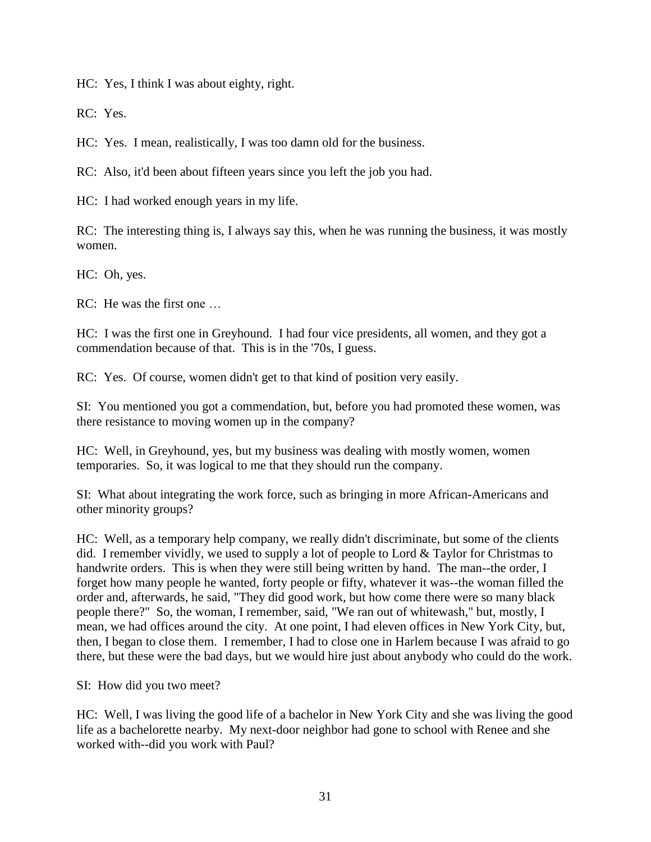HC: Yes, I think I was about eighty, right.

RC: Yes.

HC: Yes. I mean, realistically, I was too damn old for the business.

RC: Also, it'd been about fifteen years since you left the job you had.

HC: I had worked enough years in my life.

RC: The interesting thing is, I always say this, when he was running the business, it was mostly women.

HC: Oh, yes.

RC: He was the first one …

HC: I was the first one in Greyhound. I had four vice presidents, all women, and they got a commendation because of that. This is in the '70s, I guess.

RC: Yes. Of course, women didn't get to that kind of position very easily.

SI: You mentioned you got a commendation, but, before you had promoted these women, was there resistance to moving women up in the company?

HC: Well, in Greyhound, yes, but my business was dealing with mostly women, women temporaries. So, it was logical to me that they should run the company.

SI: What about integrating the work force, such as bringing in more African-Americans and other minority groups?

HC: Well, as a temporary help company, we really didn't discriminate, but some of the clients did. I remember vividly, we used to supply a lot of people to Lord & Taylor for Christmas to handwrite orders. This is when they were still being written by hand. The man--the order, I forget how many people he wanted, forty people or fifty, whatever it was--the woman filled the order and, afterwards, he said, "They did good work, but how come there were so many black people there?" So, the woman, I remember, said, "We ran out of whitewash," but, mostly, I mean, we had offices around the city. At one point, I had eleven offices in New York City, but, then, I began to close them. I remember, I had to close one in Harlem because I was afraid to go there, but these were the bad days, but we would hire just about anybody who could do the work.

SI: How did you two meet?

HC: Well, I was living the good life of a bachelor in New York City and she was living the good life as a bachelorette nearby. My next-door neighbor had gone to school with Renee and she worked with--did you work with Paul?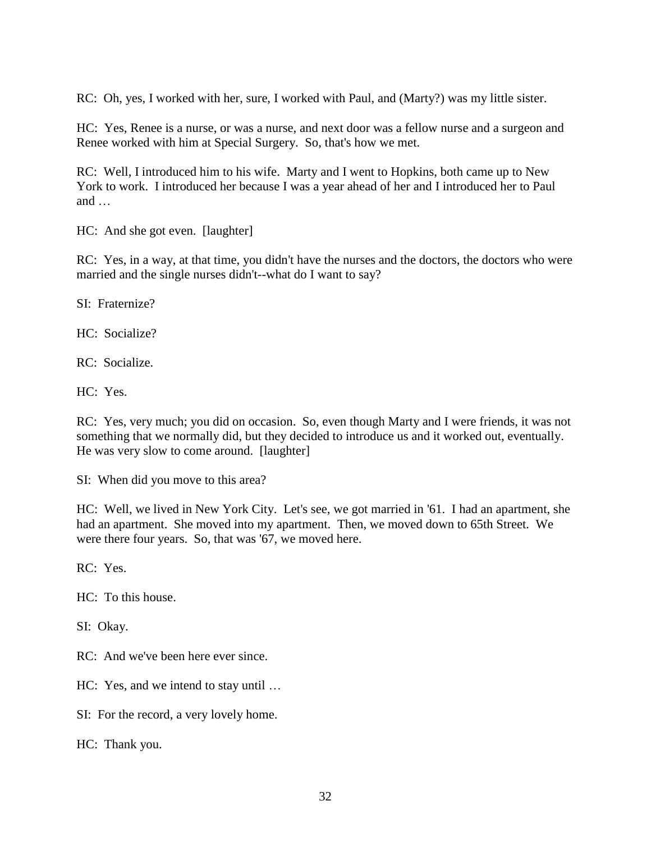RC: Oh, yes, I worked with her, sure, I worked with Paul, and (Marty?) was my little sister.

HC: Yes, Renee is a nurse, or was a nurse, and next door was a fellow nurse and a surgeon and Renee worked with him at Special Surgery. So, that's how we met.

RC: Well, I introduced him to his wife. Marty and I went to Hopkins, both came up to New York to work. I introduced her because I was a year ahead of her and I introduced her to Paul and …

HC: And she got even. [laughter]

RC: Yes, in a way, at that time, you didn't have the nurses and the doctors, the doctors who were married and the single nurses didn't--what do I want to say?

SI: Fraternize?

HC: Socialize?

RC: Socialize.

HC: Yes.

RC: Yes, very much; you did on occasion. So, even though Marty and I were friends, it was not something that we normally did, but they decided to introduce us and it worked out, eventually. He was very slow to come around. [laughter]

SI: When did you move to this area?

HC: Well, we lived in New York City. Let's see, we got married in '61. I had an apartment, she had an apartment. She moved into my apartment. Then, we moved down to 65th Street. We were there four years. So, that was '67, we moved here.

RC: Yes.

HC: To this house.

SI: Okay.

RC: And we've been here ever since.

HC: Yes, and we intend to stay until …

SI: For the record, a very lovely home.

HC: Thank you.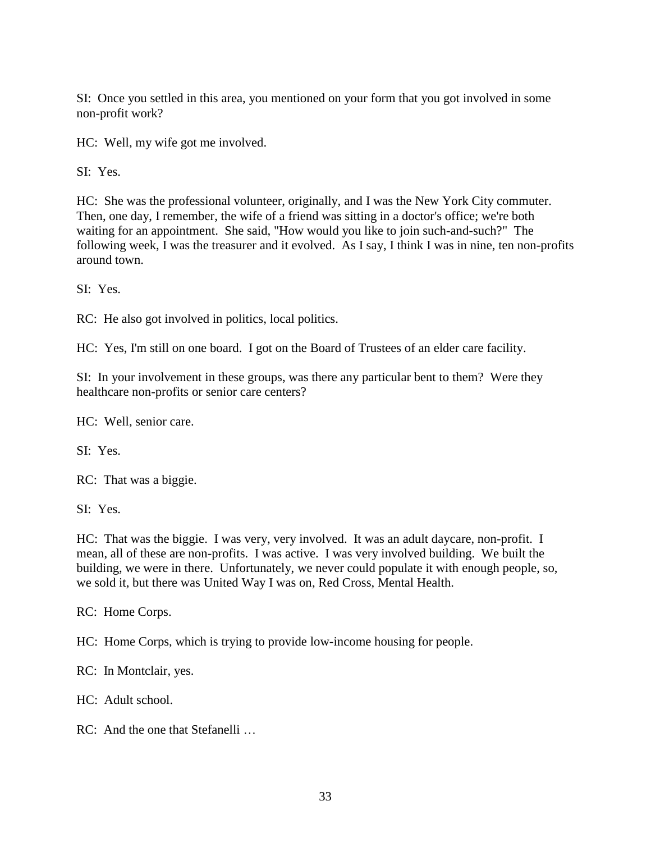SI: Once you settled in this area, you mentioned on your form that you got involved in some non-profit work?

HC: Well, my wife got me involved.

SI: Yes.

HC: She was the professional volunteer, originally, and I was the New York City commuter. Then, one day, I remember, the wife of a friend was sitting in a doctor's office; we're both waiting for an appointment. She said, "How would you like to join such-and-such?" The following week, I was the treasurer and it evolved. As I say, I think I was in nine, ten non-profits around town.

SI: Yes.

RC: He also got involved in politics, local politics.

HC: Yes, I'm still on one board. I got on the Board of Trustees of an elder care facility.

SI: In your involvement in these groups, was there any particular bent to them? Were they healthcare non-profits or senior care centers?

HC: Well, senior care.

SI: Yes.

RC: That was a biggie.

SI: Yes.

HC: That was the biggie. I was very, very involved. It was an adult daycare, non-profit. I mean, all of these are non-profits. I was active. I was very involved building. We built the building, we were in there. Unfortunately, we never could populate it with enough people, so, we sold it, but there was United Way I was on, Red Cross, Mental Health.

RC: Home Corps.

HC: Home Corps, which is trying to provide low-income housing for people.

RC: In Montclair, yes.

HC: Adult school.

RC: And the one that Stefanelli …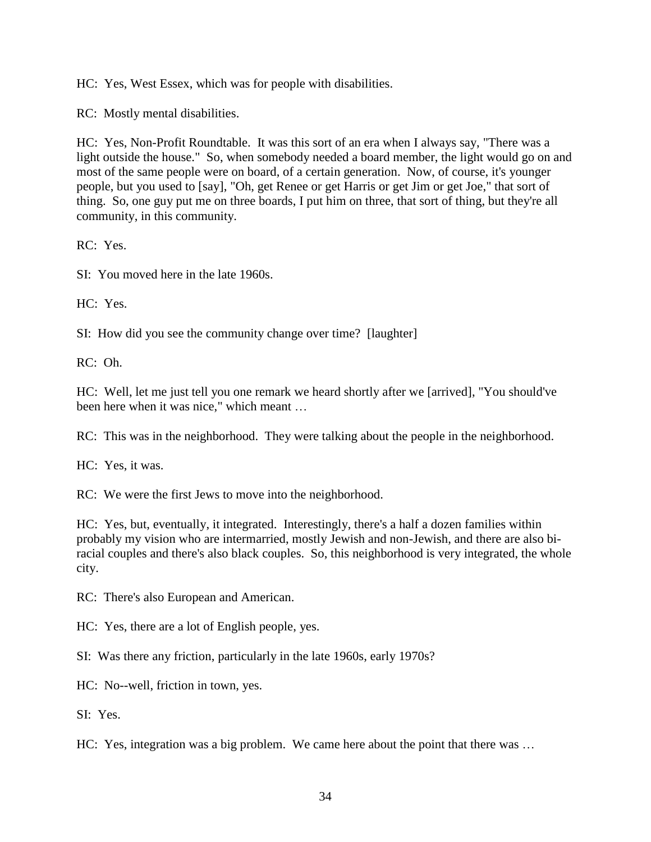HC: Yes, West Essex, which was for people with disabilities.

RC: Mostly mental disabilities.

HC: Yes, Non-Profit Roundtable. It was this sort of an era when I always say, "There was a light outside the house." So, when somebody needed a board member, the light would go on and most of the same people were on board, of a certain generation. Now, of course, it's younger people, but you used to [say], "Oh, get Renee or get Harris or get Jim or get Joe," that sort of thing. So, one guy put me on three boards, I put him on three, that sort of thing, but they're all community, in this community.

RC: Yes.

SI: You moved here in the late 1960s.

HC: Yes.

SI: How did you see the community change over time? [laughter]

RC: Oh.

HC: Well, let me just tell you one remark we heard shortly after we [arrived], "You should've been here when it was nice," which meant …

RC: This was in the neighborhood. They were talking about the people in the neighborhood.

HC: Yes, it was.

RC: We were the first Jews to move into the neighborhood.

HC: Yes, but, eventually, it integrated. Interestingly, there's a half a dozen families within probably my vision who are intermarried, mostly Jewish and non-Jewish, and there are also biracial couples and there's also black couples. So, this neighborhood is very integrated, the whole city.

RC: There's also European and American.

HC: Yes, there are a lot of English people, yes.

SI: Was there any friction, particularly in the late 1960s, early 1970s?

HC: No--well, friction in town, yes.

SI: Yes.

HC: Yes, integration was a big problem. We came here about the point that there was …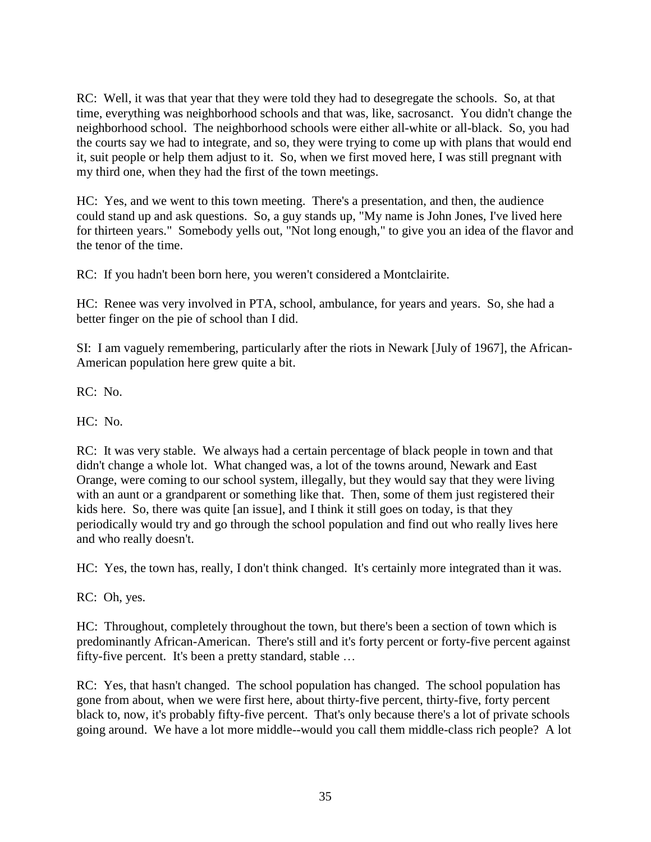RC: Well, it was that year that they were told they had to desegregate the schools. So, at that time, everything was neighborhood schools and that was, like, sacrosanct. You didn't change the neighborhood school. The neighborhood schools were either all-white or all-black. So, you had the courts say we had to integrate, and so, they were trying to come up with plans that would end it, suit people or help them adjust to it. So, when we first moved here, I was still pregnant with my third one, when they had the first of the town meetings.

HC: Yes, and we went to this town meeting. There's a presentation, and then, the audience could stand up and ask questions. So, a guy stands up, "My name is John Jones, I've lived here for thirteen years." Somebody yells out, "Not long enough," to give you an idea of the flavor and the tenor of the time.

RC: If you hadn't been born here, you weren't considered a Montclairite.

HC: Renee was very involved in PTA, school, ambulance, for years and years. So, she had a better finger on the pie of school than I did.

SI: I am vaguely remembering, particularly after the riots in Newark [July of 1967], the African-American population here grew quite a bit.

RC: No.

HC: No.

RC: It was very stable. We always had a certain percentage of black people in town and that didn't change a whole lot. What changed was, a lot of the towns around, Newark and East Orange, were coming to our school system, illegally, but they would say that they were living with an aunt or a grandparent or something like that. Then, some of them just registered their kids here. So, there was quite [an issue], and I think it still goes on today, is that they periodically would try and go through the school population and find out who really lives here and who really doesn't.

HC: Yes, the town has, really, I don't think changed. It's certainly more integrated than it was.

RC: Oh, yes.

HC: Throughout, completely throughout the town, but there's been a section of town which is predominantly African-American. There's still and it's forty percent or forty-five percent against fifty-five percent. It's been a pretty standard, stable …

RC: Yes, that hasn't changed. The school population has changed. The school population has gone from about, when we were first here, about thirty-five percent, thirty-five, forty percent black to, now, it's probably fifty-five percent. That's only because there's a lot of private schools going around. We have a lot more middle--would you call them middle-class rich people? A lot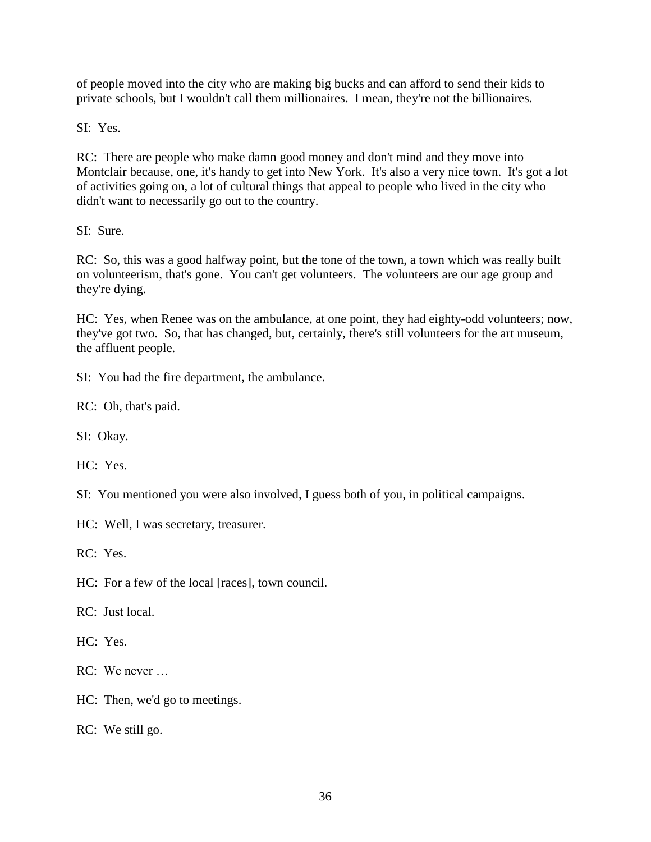of people moved into the city who are making big bucks and can afford to send their kids to private schools, but I wouldn't call them millionaires. I mean, they're not the billionaires.

SI: Yes.

RC: There are people who make damn good money and don't mind and they move into Montclair because, one, it's handy to get into New York. It's also a very nice town. It's got a lot of activities going on, a lot of cultural things that appeal to people who lived in the city who didn't want to necessarily go out to the country.

SI: Sure.

RC: So, this was a good halfway point, but the tone of the town, a town which was really built on volunteerism, that's gone. You can't get volunteers. The volunteers are our age group and they're dying.

HC: Yes, when Renee was on the ambulance, at one point, they had eighty-odd volunteers; now, they've got two. So, that has changed, but, certainly, there's still volunteers for the art museum, the affluent people.

SI: You had the fire department, the ambulance.

RC: Oh, that's paid.

SI: Okay.

HC: Yes.

SI: You mentioned you were also involved, I guess both of you, in political campaigns.

HC: Well, I was secretary, treasurer.

RC: Yes.

HC: For a few of the local [races], town council.

RC: Just local.

HC: Yes.

RC: We never …

HC: Then, we'd go to meetings.

RC: We still go.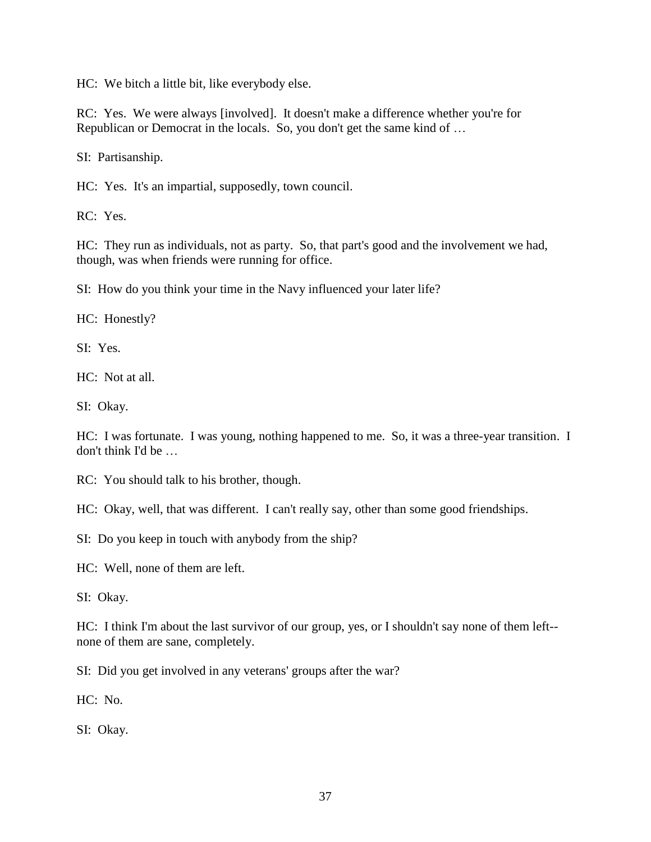HC: We bitch a little bit, like everybody else.

RC: Yes. We were always [involved]. It doesn't make a difference whether you're for Republican or Democrat in the locals. So, you don't get the same kind of …

SI: Partisanship.

HC: Yes. It's an impartial, supposedly, town council.

RC: Yes.

HC: They run as individuals, not as party. So, that part's good and the involvement we had, though, was when friends were running for office.

SI: How do you think your time in the Navy influenced your later life?

HC: Honestly?

SI: Yes.

HC: Not at all.

SI: Okay.

HC: I was fortunate. I was young, nothing happened to me. So, it was a three-year transition. I don't think I'd be …

RC: You should talk to his brother, though.

HC: Okay, well, that was different. I can't really say, other than some good friendships.

SI: Do you keep in touch with anybody from the ship?

HC: Well, none of them are left.

SI: Okay.

HC: I think I'm about the last survivor of our group, yes, or I shouldn't say none of them left- none of them are sane, completely.

SI: Did you get involved in any veterans' groups after the war?

 $HC: No.$ 

SI: Okay.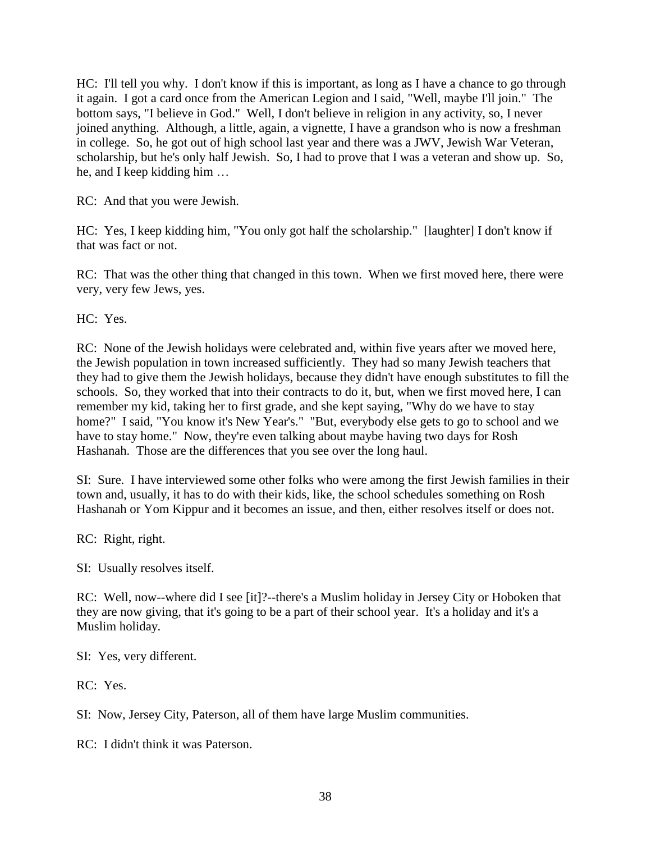HC: I'll tell you why. I don't know if this is important, as long as I have a chance to go through it again. I got a card once from the American Legion and I said, "Well, maybe I'll join." The bottom says, "I believe in God." Well, I don't believe in religion in any activity, so, I never joined anything. Although, a little, again, a vignette, I have a grandson who is now a freshman in college. So, he got out of high school last year and there was a JWV, Jewish War Veteran, scholarship, but he's only half Jewish. So, I had to prove that I was a veteran and show up. So, he, and I keep kidding him …

RC: And that you were Jewish.

HC: Yes, I keep kidding him, "You only got half the scholarship." [laughter] I don't know if that was fact or not.

RC: That was the other thing that changed in this town. When we first moved here, there were very, very few Jews, yes.

HC: Yes.

RC: None of the Jewish holidays were celebrated and, within five years after we moved here, the Jewish population in town increased sufficiently. They had so many Jewish teachers that they had to give them the Jewish holidays, because they didn't have enough substitutes to fill the schools. So, they worked that into their contracts to do it, but, when we first moved here, I can remember my kid, taking her to first grade, and she kept saying, "Why do we have to stay home?" I said, "You know it's New Year's." "But, everybody else gets to go to school and we have to stay home." Now, they're even talking about maybe having two days for Rosh Hashanah. Those are the differences that you see over the long haul.

SI: Sure. I have interviewed some other folks who were among the first Jewish families in their town and, usually, it has to do with their kids, like, the school schedules something on Rosh Hashanah or Yom Kippur and it becomes an issue, and then, either resolves itself or does not.

RC: Right, right.

SI: Usually resolves itself.

RC: Well, now--where did I see [it]?--there's a Muslim holiday in Jersey City or Hoboken that they are now giving, that it's going to be a part of their school year. It's a holiday and it's a Muslim holiday.

SI: Yes, very different.

RC: Yes.

SI: Now, Jersey City, Paterson, all of them have large Muslim communities.

RC: I didn't think it was Paterson.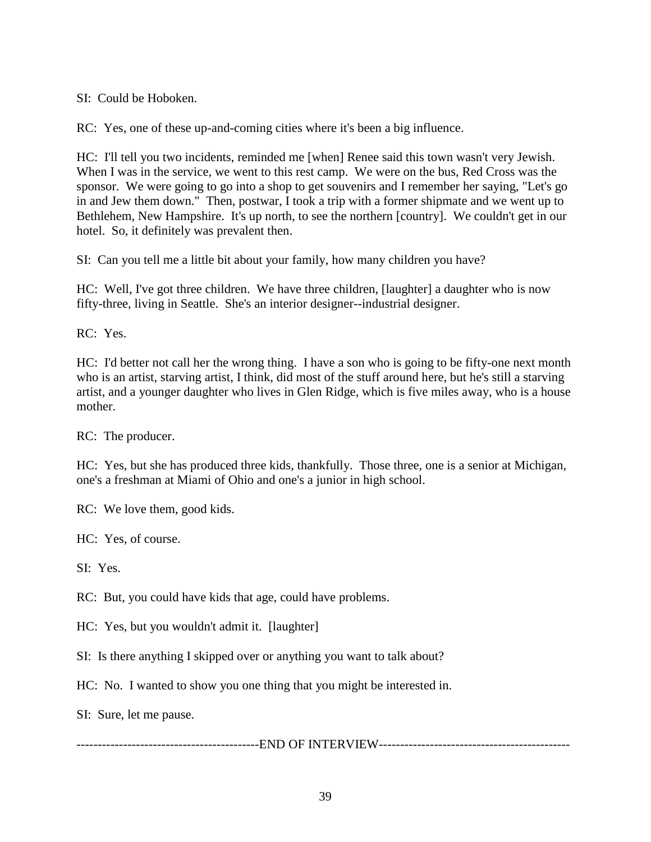SI: Could be Hoboken.

RC: Yes, one of these up-and-coming cities where it's been a big influence.

HC: I'll tell you two incidents, reminded me [when] Renee said this town wasn't very Jewish. When I was in the service, we went to this rest camp. We were on the bus, Red Cross was the sponsor. We were going to go into a shop to get souvenirs and I remember her saying, "Let's go in and Jew them down." Then, postwar, I took a trip with a former shipmate and we went up to Bethlehem, New Hampshire. It's up north, to see the northern [country]. We couldn't get in our hotel. So, it definitely was prevalent then.

SI: Can you tell me a little bit about your family, how many children you have?

HC: Well, I've got three children. We have three children, [laughter] a daughter who is now fifty-three, living in Seattle. She's an interior designer--industrial designer.

RC: Yes.

HC: I'd better not call her the wrong thing. I have a son who is going to be fifty-one next month who is an artist, starving artist, I think, did most of the stuff around here, but he's still a starving artist, and a younger daughter who lives in Glen Ridge, which is five miles away, who is a house mother.

RC: The producer.

HC: Yes, but she has produced three kids, thankfully. Those three, one is a senior at Michigan, one's a freshman at Miami of Ohio and one's a junior in high school.

RC: We love them, good kids.

HC: Yes, of course.

SI: Yes.

RC: But, you could have kids that age, could have problems.

HC: Yes, but you wouldn't admit it. [laughter]

SI: Is there anything I skipped over or anything you want to talk about?

HC: No. I wanted to show you one thing that you might be interested in.

SI: Sure, let me pause.

-------------------------------------------END OF INTERVIEW---------------------------------------------